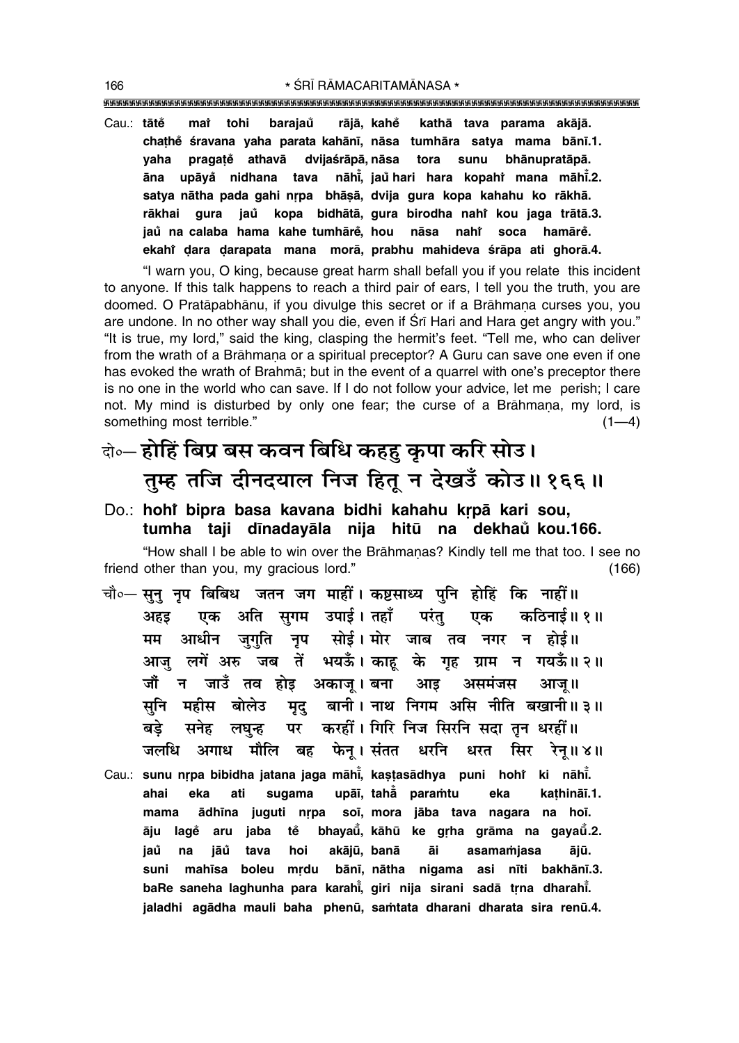""""""""""""""""""""""""""""""""""""""""""""""""""""""""""""""""""""""""""""""""""" 166 **\*\*\*** SRĪ RĀMACARITAMĀNASA \*

Cau.: **tåte mai ° Ú tohi barajau° råjå, kahe kathå tava parama akåjå. ° cha¢he ‹ravana yaha parata kahån∂, ° nåsa tumhåra satya mama bån∂.1. yaha praga¢e athavå dvija‹råpå, ° nåsa tora sunu bhånupratåpå. åna upåya° nidhana tava nåh∂° , jau° hari hara kopahiÚ mana måh∂° .2.** satya nātha pada gahi nrpa bhāṣā, dvija gura kopa kahahu ko rākhā. **råkhai gura jau° kopa bidhåtå, gura birodha nahiÚ kou jaga tråtå.3.** jaů na calaba hama kahe tumhārě, hou nāsa  **soca hamåre°.** ekahì ḍara ḍarapata mana morā, prabhu mahideva śrāpa ati ghorā.4.

"I warn you, O king, because great harm shall befall you if you relate this incident to anyone. If this talk happens to reach a third pair of ears, I tell you the truth, you are doomed. O Pratāpabhānu, if you divulge this secret or if a Brāhmana curses you, you are undone. In no other way shall you die, even if Śrī Hari and Hara get angry with you." "It is true, my lord," said the king, clasping the hermit's feet. "Tell me, who can deliver from the wrath of a Brāhmana or a spiritual preceptor? A Guru can save one even if one has evoked the wrath of Brahmā; but in the event of a quarrel with one's preceptor there is no one in the world who can save. If I do not follow your advice, let me perish; I care not. My mind is disturbed by only one fear; the curse of a Brāhmana, my lord, is something most terrible.<sup>"</sup> (1—4)

### दो**०– होहिं बिप्र बस कवन बिधि कहह कृपा करि सोउ।** <u>तु</u>म्ह तजि दीनदयाल निज हितू न देखउँ कोउ॥१६६॥

Do.: <mark>hohi bipra basa kavana bidhi kahahu kṛpā kari sou,</mark> **tumha taji d∂nadayåla nija hitµu na dekhau° kou.166.**

"How shall I be able to win over the Brāhmanas? Kindly tell me that too. I see no friend other than you, my gracious lord." (166)

- **चौ०— सूनु नृप बिबिध जतन जग माहीं। कष्ट्रसाध्य पुनि होहिं कि नाहीं॥** <u>अहड़ एक अति सुगम उपाई।तहाँ परंतु एक कठिनाई॥१॥</u> <u>मम आधीन जगति नूप सोई।मोर जाब तव नगर न होई॥</u> <u>आजुलिंगें अरुजब तें भयऊँ। काह</u> के गृह ग्राम न गयऊँ॥२॥ जौं न जाउँ तव होइ अकाजू ।बना आइ असमंजस आजू ॥ सनि महीस बोलेउ मद बानी।**नाथ निगम असि नीति बखानी॥३॥** बड़े सनेह लघुन्ह पर करहीं।**गिरि निज सिरनि सदा तून धरहीं**॥ जलधि अगाध मौलि बह फेन्**। संतत धरनि धरत सिर रेन्॥४**॥
- Cau.: <mark>sunu nṛpa bibidha jatana jaga māh</mark>i̇̃, kaṣṭasādhya puni hohi̇̀ ki nāhi̇̃. **ahai eka ati sugama upå∂, tahå° para≈tu eka ka¢hinå∂.1.** mama ādhīna juguti nrpa soī, mora jāba tava nagara na hoī. **åju lage° aru jaba te° bhayaµu°** , kāhū ke gṛha grāma na gayaūঁ.2. **jau° na jåu° tava hoi akåjµu, banå åi asama≈jasa åjµu.** suni mahīsa boleu mrdu bānī, nātha nigama asi nīti bakhānī.3. **baRe saneha laghunha para karah∂° , giri nija sirani sadå tæna dharah∂° .** jaladhi agādha mauli baha phenū, samtata dharani dharata sira renū.4.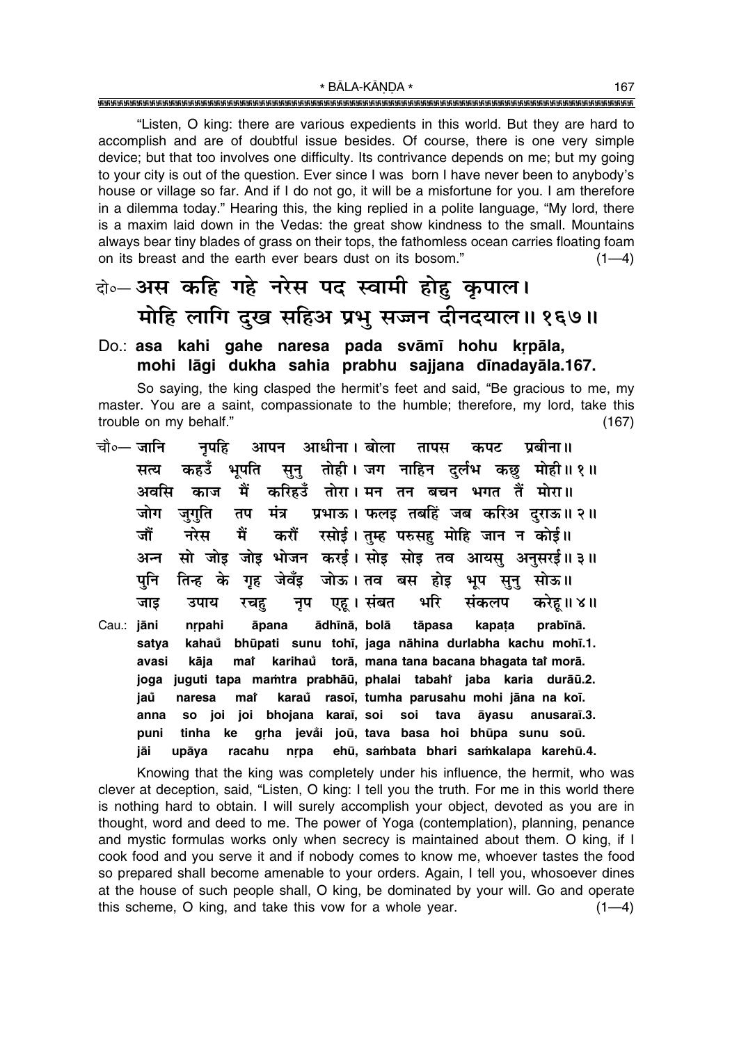"Listen, O king: there are various expedients in this world. But they are hard to accomplish and are of doubtful issue besides. Of course, there is one very simple device; but that too involves one difficulty. Its contrivance depends on me; but my going to your city is out of the question. Ever since I was born I have never been to anybody's house or village so far. And if I do not go, it will be a misfortune for you. I am therefore in a dilemma today." Hearing this, the king replied in a polite language, "My lord, there is a maxim laid down in the Vedas: the great show kindness to the small. Mountains always bear tiny blades of grass on their tops, the fathomless ocean carries floating foam on its breast and the earth ever bears dust on its bosom."  $(1-4)$ 

### बे-अस कहि गहे नरेस पद स्वामी होह कुपाल। मोहि लागि दुख सहिअ प्रभु सज्जन दीनदयाल॥ १६७॥

#### Do.: asa kahi gahe naresa pada svāmī hohu krpāla, mohi lāgi dukha sahia prabhu sajjana dīnadayāla.167.

So saying, the king clasped the hermit's feet and said, "Be gracious to me, my master. You are a saint, compassionate to the humble; therefore, my lord, take this trouble on my behalf."  $(167)$ 

चौ०— जानि नपहि आपन आधीना। बोला तापस कपट पबीना॥ सुनु तोही। जग नाहिन दुर्लभ कछ मोही॥१॥ सत्य कहउँ भपति अवसि काज मैं करिहउँ तोरा । मन तन बचन भगत तैं मोरा ॥ प्रभाऊ। फलइ तबहिं जब करिअ दुराऊ॥२॥ जोग जगति तप मंत्र करौं रसोई। तुम्ह परुसहु मोहि जान न कोई॥ जौं नरेस मैं अन्न सो जोड़ जोड़ भोजन करई। सोड़ सोड़ तव आयस अनसरई॥३॥ भूष सूनु सोऊ॥ पनि जेवँइ जोऊ । तव बस होइ तिन्ह े के गृह एहू । संबत भरि संकलप करेह॥४॥ जाड उपाय नुप रचह Cau.: jāni ādhīnā, bolā nrpahi āpana tāpasa kapata prabīnā. kahaů bhūpati sunu tohī, jaga nāhina durlabha kachu mohī.1. satya karihaŭ torā, mana tana bacana bhagata tai morā. avasi kāja mat joga juguti tapa mamtra prabhāū, phalai tabahi jaba karia durāū.2. karaů rasoī, tumha parusahu mohi jāna na koī. jaů naresa mat anna so joi joi bhojana karaī, soi soi tava āyasu anusaraī.3. grha jevåi joū, tava basa hoi bhūpa sunu soū. puni tinha ke ehū, sambata bhari samkalapa karehū.4. jāi upāya racahu nrpa

Knowing that the king was completely under his influence, the hermit, who was clever at deception, said, "Listen, O king: I tell you the truth. For me in this world there is nothing hard to obtain. I will surely accomplish your object, devoted as you are in thought, word and deed to me. The power of Yoga (contemplation), planning, penance and mystic formulas works only when secrecy is maintained about them. O king, if I cook food and you serve it and if nobody comes to know me, whoever tastes the food so prepared shall become amenable to your orders. Again, I tell you, whosoever dines at the house of such people shall, O king, be dominated by your will. Go and operate this scheme, O king, and take this vow for a whole year.  $(1-4)$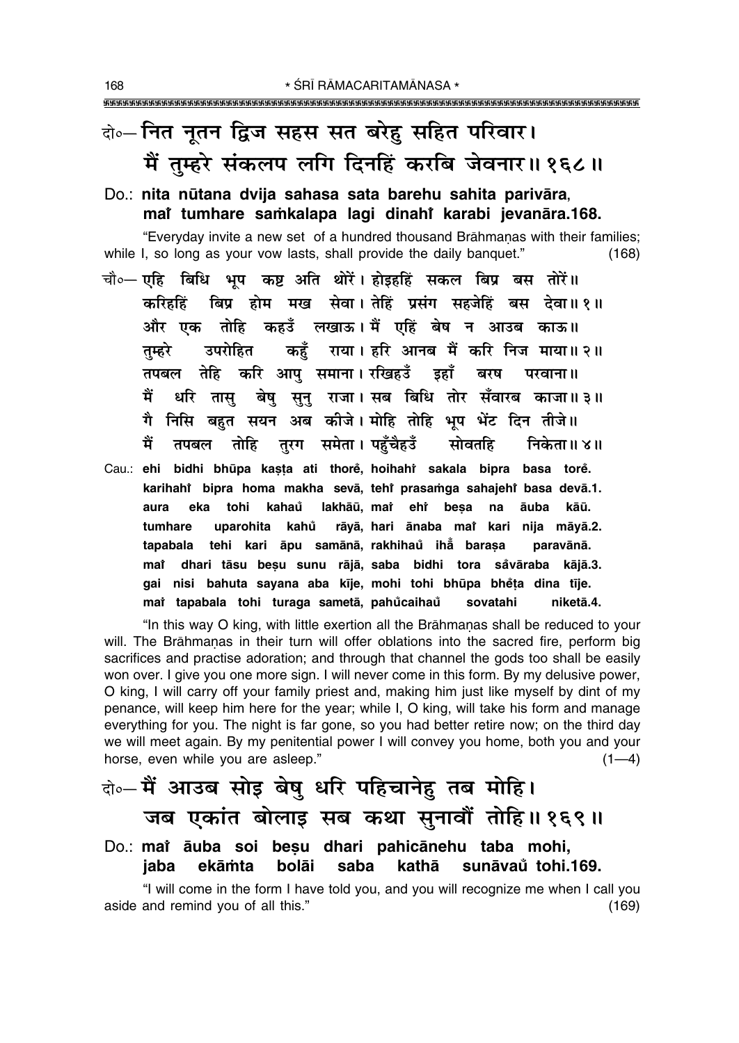# केन्-नित नुतन द्विज सहस सत बरेह सहित परिवार। मैं तुम्हरे संकलप लगि दिनहिं करबि जेवनार॥१६८॥

### Do.: nita nūtana dvija sahasa sata barehu sahita parivāra, mai tumhare samkalapa lagi dinahi karabi jevanāra.168.

"Everyday invite a new set of a hundred thousand Brāhmanas with their families; while I, so long as your vow lasts, shall provide the daily banquet."  $(168)$ 

- चौ०— एहि बिधि भूप कष्ट अति थोरें। होइहहिं सकल बिप्र बस तोरें॥ करिहहिं बिप्र होम मख सेवा।तेहिं प्रसंग सहजेहिं बस देवा॥१॥ और एक तोहि कहउँ लखाऊ।मैं एहिं बेष न आउब काऊ॥ कहुँ राया। हरि आनब मैं करि निज माया॥२॥ तम्हरे उपरोहित तपबल तेहि करि आप समाना। रखिहउँ इहाँ बरष परवाना ॥ धरि तासु बेषु सुनु राजा। सब बिधि तोर सँवारब काजा॥३॥ मैं गै निसि बहुत सयन अब कीजे। मोहि तोहि भूप भेंट दिन तीजे॥ मैं तपबल तोहि तुरग समेता। पहुँचैहउँ निकेता॥४॥ सोवतहि
- Cau.: ehi bidhi bhūpa kasta ati thore, hoihahi sakala bipra basa tore. karihahi bipra homa makha sevā, tehi prasamga sahajehi basa devā.1. eka tohi kahaů lakhāū, mai ehi besa aura na āuba kāū. uparohita kahů rāyā, hari ānaba mar kari nija māyā.2. tumhare tehi kari āpu samānā, rakhihaŭ ihā barasa paravānā. tapabala dhari tāsu beșu sunu rājā, saba bidhi tora såvāraba kājā.3. mat gai nisi bahuta sayana aba kije, mohi tohi bhūpa bhěta dina tije. mai tapabala tohi turaga sametā, pahůcaihaů sovatahi niketā.4.

"In this way O king, with little exertion all the Brāhmanas shall be reduced to your will. The Brāhmanas in their turn will offer oblations into the sacred fire, perform big sacrifices and practise adoration; and through that channel the gods too shall be easily won over. I give you one more sign. I will never come in this form. By my delusive power, O king. I will carry off your family priest and, making him just like myself by dint of my penance, will keep him here for the year; while I, O king, will take his form and manage everything for you. The night is far gone, so you had better retire now; on the third day we will meet again. By my penitential power I will convey you home, both you and your horse, even while you are asleep."  $(1-4)$ 

### वे०-मैं आउब सोइ बेषु धरि पहिचानेह तब मोहि। जब एकांत बोलाइ सब कथा सुनावौं तोहि॥१६९॥

#### Do.: mai āuba soi besu dhari pahicānehu taba mohi, ekāmta bolāi kathā sunāvaŭ tohi.169. jaba saba

"I will come in the form I have told you, and you will recognize me when I call you aside and remind you of all this."  $(169)$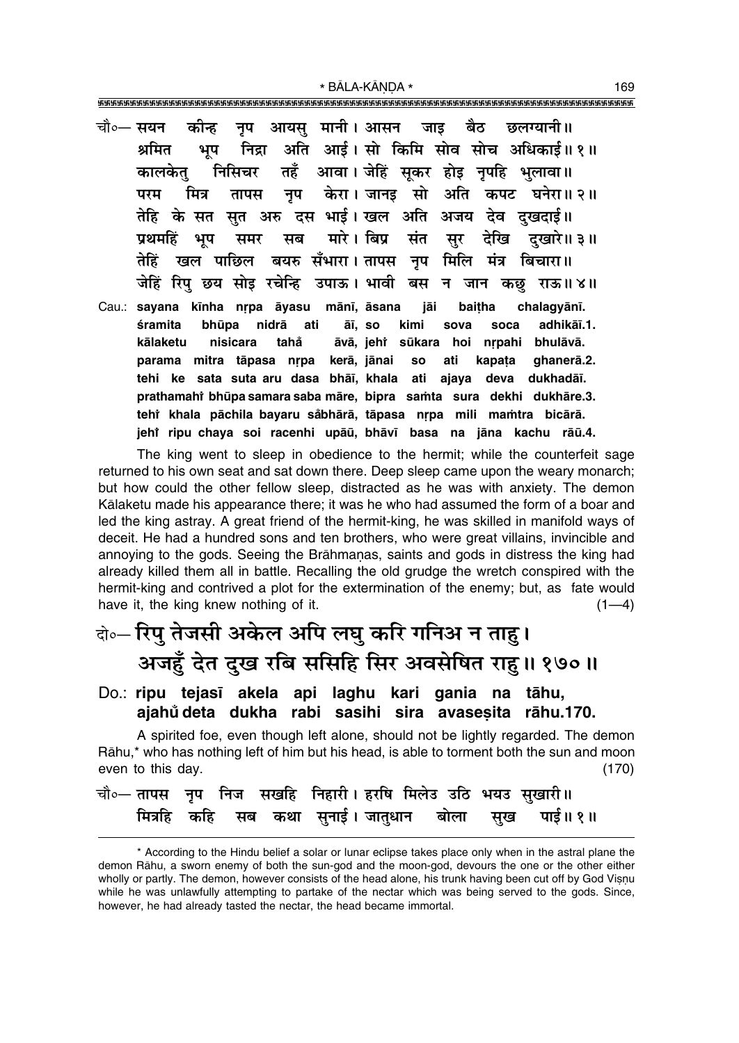\* BĀLA-KĀNDA \* 

- चौ०— सयन कीन्ह आयसु मानी। आसन ਕੈਠ छलग्यानी ॥ नप जाड अति आई। सो किमि सोव सोच अधिकाई॥१॥ निद्रा श्रमित भप तहँ आवा। जेहिं सूकर होइ नृपहि भुलावा॥ निसिचर कालकेत नप केरा। जानड सो अति कपट घनेरा॥२॥ ਸਿੰਕ परम तापस तेहि के सत सत अरु दस भाई। खल अति अजय देव दखदाई॥ प्रथमहिं मब मारे। बिप्र संत भप समर सर दखारे॥ ३॥ देखि तेहिं खल पाछिल बयरु सँभारा। तापस नप मिलि मंत्र बिचारा॥ जेहिं रिपु छय सोइ रचेन्हि उपाऊ। भावी बस न जान कछु राऊ॥४॥
- Cau.: sayana kinha nrpa āyasu mānī, āsana jāi baitha chalagvānī. śramita bhūpa nidrā ati āī, so kimi sova adhikāī.1. soca kālaketu nisicara tahå āvā, jehr sūkara hoi nrpahi bhulāvā. parama mitra tāpasa nrpa kerā, jānai **SO** ati kapata ahanerā.2. tehi ke sata suta aru dasa bhāi, khala ati ajaya deva dukhadāī. prathamahî bhūpa samara saba māre, bipra samta sura dekhi dukhāre.3. tehi khala pāchila bayaru såbhārā, tāpasa nrpa mili mamtra bicārā. jehi ripu chaya soi racenhi upāū, bhāvī basa na jāna kachu rāū.4.

The king went to sleep in obedience to the hermit; while the counterfeit sage returned to his own seat and sat down there. Deep sleep came upon the weary monarch; but how could the other fellow sleep, distracted as he was with anxiety. The demon Kālaketu made his appearance there; it was he who had assumed the form of a boar and led the king astray. A great friend of the hermit-king, he was skilled in manifold ways of deceit. He had a hundred sons and ten brothers, who were great villains, invincible and annoying to the gods. Seeing the Brāhmanas, saints and gods in distress the king had already killed them all in battle. Recalling the old grudge the wretch conspired with the hermit-king and contrived a plot for the extermination of the enemy; but, as fate would have it, the king knew nothing of it.  $(1-4)$ 

## केन्टिपु तेजसी अकेल अपि लघु करि गनिअ न ताहु। अजहुँ देत दुख रबि ससिहि सिर अवसेषित राहु॥ १७०॥

### Do.: ripu tejasī akela api laghu kari gania na tāhu, ajahů deta dukha rabi sasihi sira avasesita rāhu.170.

A spirited foe, even though left alone, should not be lightly regarded. The demon Rāhu,\* who has nothing left of him but his head, is able to torment both the sun and moon even to this day.  $(170)$ 

|  |  | चौ∘— तापस नृप निज सखहि निहारी। हरषि मिलेउ उठि भयउ सुखारी॥ |  |  |
|--|--|-----------------------------------------------------------|--|--|
|  |  | मित्रहि कहि सब कथा सुनाई।जातुधान बोला सुख पाई॥१॥          |  |  |

<sup>\*</sup> According to the Hindu belief a solar or lunar eclipse takes place only when in the astral plane the demon Rāhu, a sworn enemy of both the sun-god and the moon-god, devours the one or the other either wholly or partly. The demon, however consists of the head alone, his trunk having been cut off by God Visnu while he was unlawfully attempting to partake of the nectar which was being served to the gods. Since, however, he had already tasted the nectar, the head became immortal.

169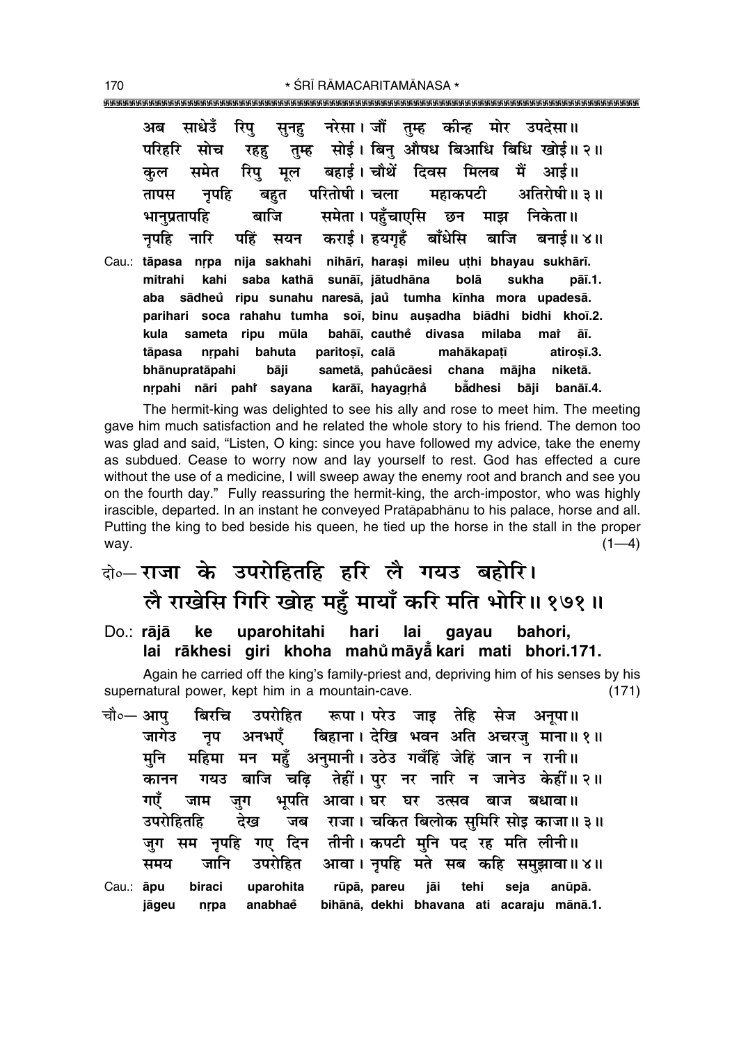साधेउँ रिप नरेसा। जौं तम्ह कीन्ह मोर उपदेसा॥ अब सनह सोई। बिन् औषध बिआधि बिधि खोई॥२॥ परिहरि सोच रहह तम्ह समेत बहाई। चौथें दिवस मिलब मैं आई॥ रिप मल कल अतिरोषी ॥ ३ ॥ परितोषी। चला महाकपटी तापस नपहि बहत समेता। पहुँचाएसि बाजि भानप्रतापहि निकेता॥ छन माझ नपहि कराई। हयगुहँ बाँधेसि पहिं बाजि नारि सयन बनाई॥ ४॥ Cau.; tāpasa nrpa nija sakhahi nihārī, harasi mileu uthi bhayau sukhārī. kahi saba kathā sunāī, jātudhāna mitrahi bolā sukha pāī.1. aba sādheů ripu sunahu naresā, jaů tumha kīnha mora upadesā. parihari soca rahahu tumha soi, binu ausadha biādhi bidhi khoī.2. kula sameta ripu mūla bahāī, cauthe divasa milaba mat āī. bahuta paritosī, calā tāpasa nrpahi mahākapatī atirosī.3. bhānupratāpahi bāii sametā, pahůcāesi chana mājha niketā. bådhesi bāji banāī.4. nrpahi nāri pahi sayana karāī, hayagrhå

The hermit-king was delighted to see his ally and rose to meet him. The meeting gave him much satisfaction and he related the whole story to his friend. The demon too was glad and said, "Listen, O king: since you have followed my advice, take the enemy as subdued. Cease to worry now and lay yourself to rest. God has effected a cure without the use of a medicine, I will sweep away the enemy root and branch and see you on the fourth day." Fully reassuring the hermit-king, the arch-impostor, who was highly irascible, departed. In an instant he conveyed Pratāpabhānu to his palace, horse and all. Putting the king to bed beside his queen, he tied up the horse in the stall in the proper wav.  $(1-4)$ 

### के-राजा के उपरोहितहि हरि लै गयउ बहोरि। लै राखेसि गिरि खोह महुँ मायाँ करि मति भोरि॥ १७१॥

hari ke uparohitahi Do.: rājā lai qayau bahori. lai rākhesi giri khoha mahumāvā kari mati bhori.171.

Again he carried off the king's family-priest and, depriving him of his senses by his supernatural power, kept him in a mountain-cave.  $(171)$ 

- चौ∘— आप बिरचि उपरोहित रूपा। परेउ जाइ तेहि सेज अनुपा॥ बिहाना। देखि भवन अति अचरजु माना॥१॥ अनभएँ जागेउ नप महिमा मन महँ अनमानी। उठेउ गवँहिं जेहिं जान न रानी॥ मनि गयउ बाजि चढ़ि तेहीं। पुर नर नारि न जानेउ केहीं॥ २॥ कानन भूपति आवा। घर घर उत्सव बाज बधावा॥ गाउँ जग जाम जब राजा। चकित बिलोक सुमिरि सोइ काजा॥३॥ उपरोहितहि देख जुग सम नृपहि गए दिन तीनी।कपटी मुनि पद रह मति लीनी॥ आवा। नृपहि मते सब कहि समुझावा॥४॥ जानि उपरोहित समय Cau.: apu biraci uparohita rūpā, pareu jāi tehi seja anūpā.
- jāgeu anabhae bihānā, dekhi bhavana ati acaraju mānā.1. nrpa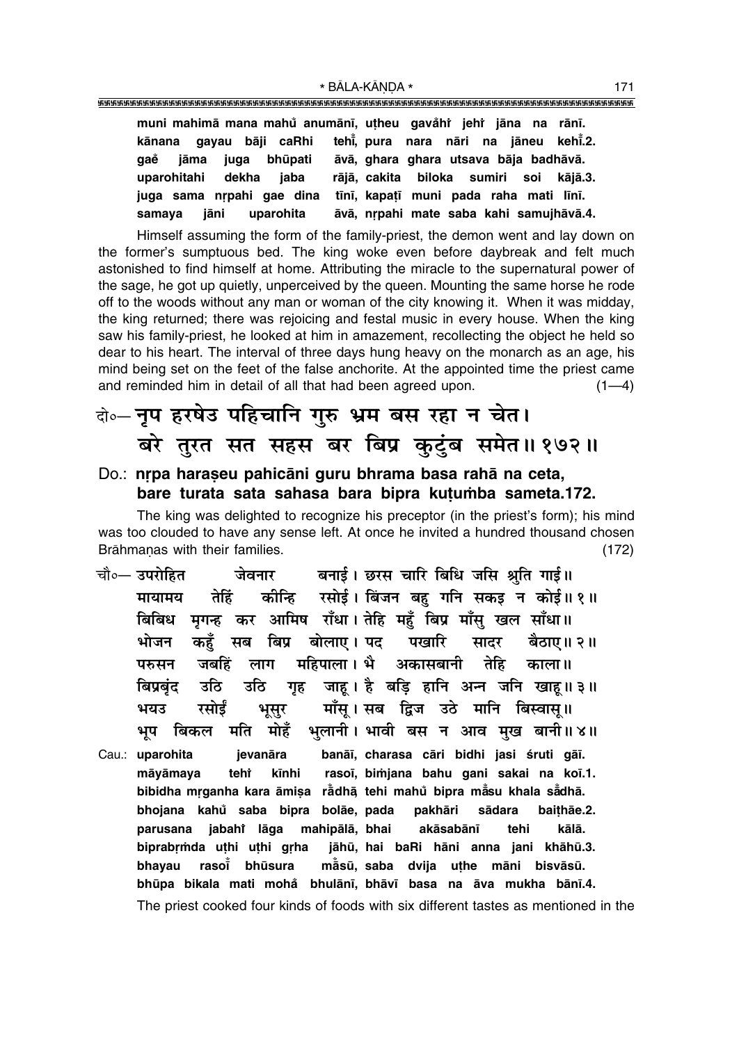|                           | muni mahimā mana mahů anumānī, utheu gavåhť jehť jāna na rānī. |  |
|---------------------------|----------------------------------------------------------------|--|
|                           | kānana gayau bāji caRhi tehi, pura nara nāri na jāneu kehi.2.  |  |
| gaĕ jāma juga bhūpati     | āvā, ghara ghara utsava bāja badhāvā.                          |  |
| uparohitahi dekha jaba    | rājā, cakita biloka sumiri soi kājā.3.                         |  |
| juga sama nrpahi gae dina | tīnī, kapatī muni pada raha mati līnī.                         |  |
| samaya jāni uparohita     | āvā, nrpahi mate saba kahi samujhāvā.4.                        |  |

Himself assuming the form of the family-priest, the demon went and lay down on the former's sumptuous bed. The king woke even before daybreak and felt much astonished to find himself at home. Attributing the miracle to the supernatural power of the sage, he got up quietly, unperceived by the queen. Mounting the same horse he rode off to the woods without any man or woman of the city knowing it. When it was midday, the king returned; there was rejoicing and festal music in every house. When the king saw his family-priest, he looked at him in amazement, recollecting the object he held so dear to his heart. The interval of three days hung heavy on the monarch as an age, his mind being set on the feet of the false anchorite. At the appointed time the priest came and reminded him in detail of all that had been agreed upon.  $(1-4)$ 

## बे॰- नृप हरषेउ पहिचानि गुरु भ्रम बस रहा न चेत। बरे तुरत सत सहस बर बिप्र कुटुंब समेत॥१७२॥

#### Do.: nrpa haraseu pahicāni guru bhrama basa rahā na ceta, bare turata sata sahasa bara bipra kutumba sameta.172.

The king was delighted to recognize his preceptor (in the priest's form); his mind was too clouded to have any sense left. At once he invited a hundred thousand chosen Brāhmanas with their families.  $(172)$ 

- बनाई। छरस चारि बिधि जसि श्रुति गाई॥ चौ∘— उपरोहित जेवनार कीन्हि रसोई। बिंजन बहु गनि सकइ न कोई॥१॥ तेहिं मायामय बिबिध मुगन्ह कर आमिष राँधा। तेहि महँ बिप्र माँसु खल साँधा॥ कहँ सब बिप्र बोलाए। पद पखारि भोजन सादर बैठाए॥ २॥ महिपाला। भै अकासबानी तेहि जबहिं काला॥ परुसन लाग गृह जाहू। है बड़ि हानि अन्न जनि खाहू॥ ३॥ उठि उठि बिप्रबंद माँसू। सब द्विज उठे मानि बिस्वासू॥ रसोर्ड भयउ भूसूर भूप बिकल मति मोहँ भुलानी। भावी बस न आव मुख बानी॥४॥
- Cau.: uparohita banāī, charasa cāri bidhi jasi śruti gāī. jevanāra rasoī, bimjana bahu gani sakai na koī.1. teht kīnhi māyāmaya bibidha mrganha kara āmiṣa rằdhā tehi mahủ bipra māṣu khala sādhā. bhojana kahů saba bipra bolāe, pada pakhāri sādara baithae.2. jabahi lāga mahipālā, bhai akāsabānī tehi kālā. parusana biprabrmda uthi uthi grha jāhū, hai baRi hāni anna jani khāhū.3. rasot<sup>i</sup> bhūsura māsū, saba dvija uthe māni bisvāsū. bhavau bhūpa bikala mati mohå bhulānī, bhāvī basa na āva mukha bānī.4. The priest cooked four kinds of foods with six different tastes as mentioned in the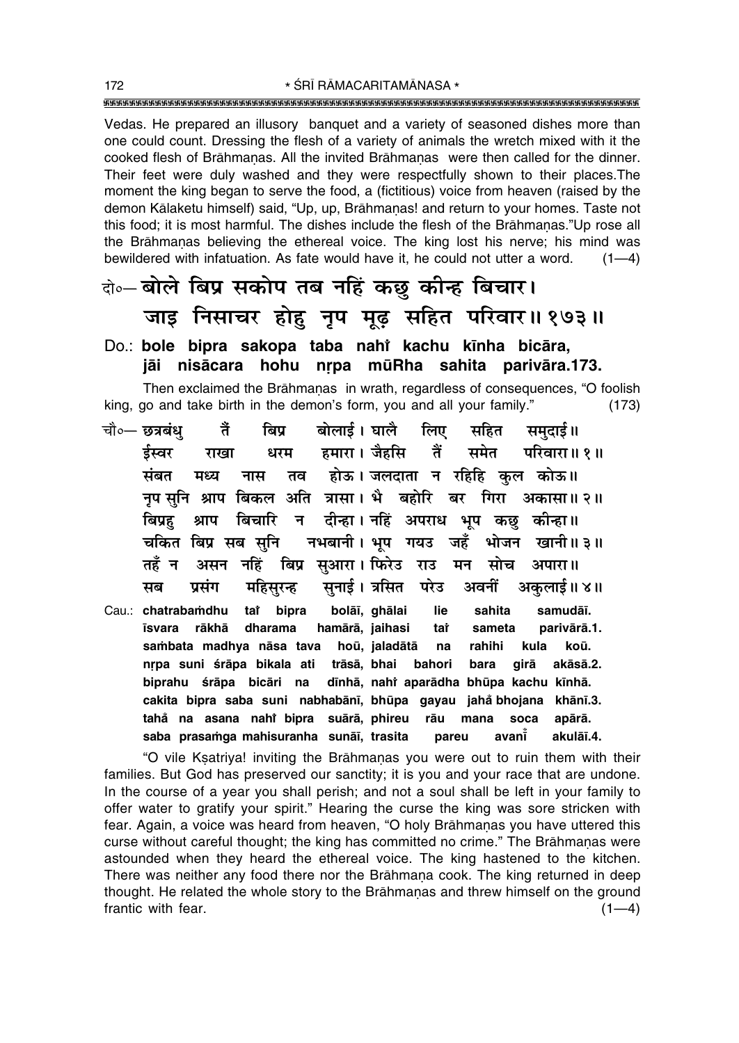Vedas. He prepared an illusory banquet and a variety of seasoned dishes more than one could count. Dressing the flesh of a variety of animals the wretch mixed with it the cooked flesh of Brāhmanas. All the invited Brāhmanas were then called for the dinner. Their feet were duly washed and they were respectfully shown to their places. The moment the king began to serve the food, a (fictitious) voice from heaven (raised by the demon Kālaketu himself) said, "Up, up, Brāhmanas! and return to your homes. Taste not this food; it is most harmful. The dishes include the flesh of the Brāhmanas."Up rose all the Brāhmanas believing the ethereal voice. The king lost his nerve; his mind was bewildered with infatuation. As fate would have it, he could not utter a word.  $(1-4)$ 

### केन्चोले बिप्र सकोप तब नहिं कछ कीन्ह बिचार। जाइ निसाचर होहु नृप मूढ़ सहित परिवार॥१७३॥

### Do.: bole bipra sakopa taba nahi kachu kīnha bicāra, jāi nisācara hohu nrpa mūRha sahita parivāra.173.

Then exclaimed the Brāhmanas in wrath, regardless of consequences, "O foolish king, go and take birth in the demon's form, you and all your family."  $(173)$ 

बोलाई। घालै लिए चौ०— छत्रबंध् तैं बिप्र समुदाई ॥ सहित हमारा। जैहसि तैं समेत ईस्वर धरम परिवारा॥ १॥ राखा संबत तव होऊ। जलदाता न रहिहि कुल कोऊ॥ मध्य नास नुप सुनि श्राप बिकल अति त्रासा। भै बहोरि बर गिरा अकासा॥२॥ दीन्हा। नहिं अपराध भूप कछ कीन्हा॥ बिप्रह श्राप बिचारि न $\overline{a}$ नभबानी। भूष गयउ जहँ भोजन खानी॥३॥ चकित बिप्र सब सनि बिप्र सुआरा।फिरेउ राउ मन सोच तहँ न असन नहिं अपारा॥ महिसुरन्ह सुनाई । त्रसित परेउ अवनीं अकुलाई॥ ४॥ प्रसंग सब Cau.: chatrabamdhu tat bipra bolāī, ghālai lie sahita samudāī. īsvara rākhā dharama hamārā, jaihasi tar sameta parivārā.1. hoū, jaladātā sambata madhya nāsa tava na rahihi kula koū. nrpa suni śrāpa bikala ati trāsā. bhai bahori bara airā akāsā.2. dīnhā, nahi aparādha bhūpa kachu kīnhā. biprahu śrāpa bicāri na cakita bipra saba suni nabhabānī, bhūpa gayau jahă bhojana khānī.3. tahå na asana nahi bipra suārā, phireu rāu mana soca apārā.

saba prasamga mahisuranha sunāī, trasita

"O vile Ksatriya! inviting the Brāhmanas you were out to ruin them with their families. But God has preserved our sanctity; it is you and your race that are undone. In the course of a year you shall perish; and not a soul shall be left in your family to offer water to gratify your spirit." Hearing the curse the king was sore stricken with fear. Again, a voice was heard from heaven, "O holy Brāhmaṇas you have uttered this curse without careful thought; the king has committed no crime." The Brāhmaṇas were astounded when they heard the ethereal voice. The king hastened to the kitchen. There was neither any food there nor the Brāhmaṇa cook. The king returned in deep thought. He related the whole story to the Brāhmanas and threw himself on the ground frantic with fear.  $(1-4)$ 

avani

pareu

akulāī.4.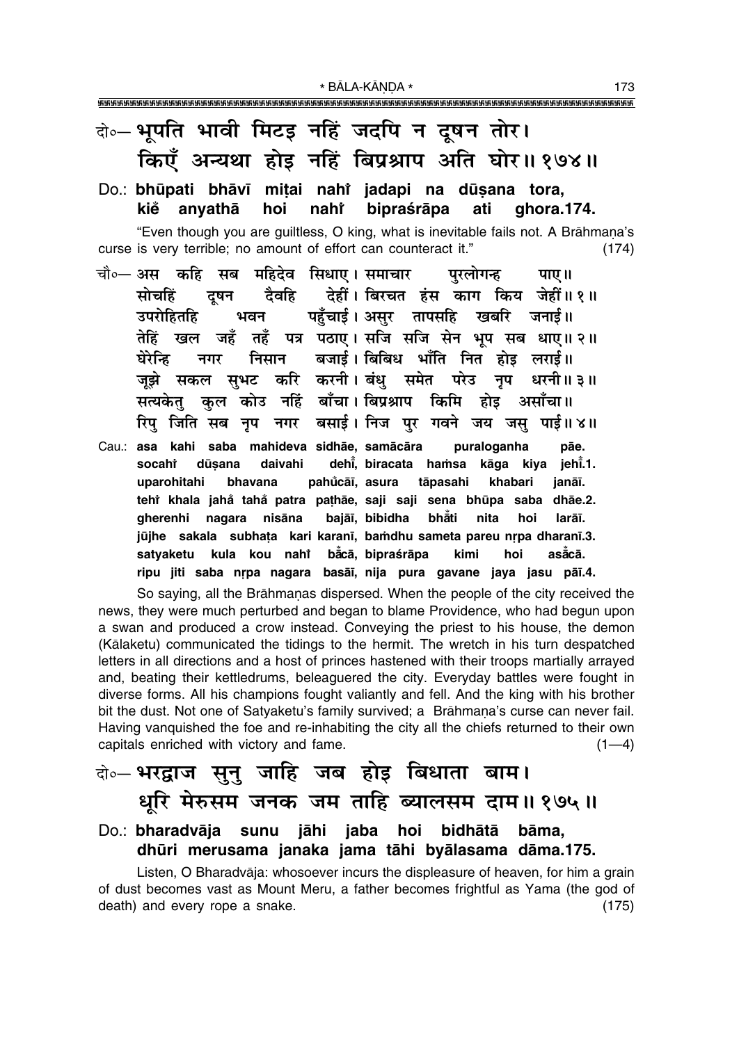### वे∘– भूपति भावी मिटइ नहिं जदपि न दुषन तोर। किएँ अन्यथा होड़ नहिं बिप्रश्नाप अति घोर॥१७४॥

Do.: bhūpati bhāvī mitai nahi jadapi na dūsana tora, kie anvathā hoi nahi bipraśrāpa ati qhora.174.

"Even though you are guiltless, O king, what is inevitable fails not. A Brāhmana's curse is very terrible; no amount of effort can counteract it."  $(174)$ 

- चौ∘— अस कहि सब महिदेव सिधाए। समाचार परलोगन्ह पाए।। देहीं। बिरचत हंस काग किय जेहीं॥१॥ दैवहि मोचर्हि दषन पहुँचाई। असुर तापसहि खबरि जनाई॥ उपरोहितहि भवन तेहिं खल जहँ तहँ पत्र पठाए। सजि सजि सेन भूप सब धाए॥ २॥ निसान बजाई। बिबिध भाँति नित होड़ लराई।। घेरेन्द्रि नगर जुझे सकल सुभट करि करनी।बंधु समेत परेउ नृप धरनी॥३॥ सत्यकेतु कुल कोउ नहिं बाँचा।विप्रश्राप किमि होइ असाँचा॥ रिप जिति सब नूप नगर बसाई। निज पर गवने जय जस पाई॥४॥
- Cau.: asa kahi saba mahideva sidhāe, samācāra puraloganha pāe. dūsana dehi, biracata hamsa kāga kiya jehi.1. socaht daivahi uparohitahi bhavana pahůcāī, asura tāpasahi khabari janāī. tehi khala jahå tahå patra pathāe, saji saji sena bhūpa saba dhāe.2. bajāī, bibidha gherenhi nagara nisāna bhăti nita hoi larāī. jūjhe sakala subhața kari karanī, bamdhu sameta pareu nrpa dharanī.3. satyaketu kula kou nahi bācā, bipraśrāpa kimi asåcā. hoi ripu jiti saba nrpa nagara basāi, nija pura gavane jaya jasu pāi.4.

So saying, all the Brāhmanas dispersed. When the people of the city received the news, they were much perturbed and began to blame Providence, who had begun upon a swan and produced a crow instead. Conveying the priest to his house, the demon (Kālaketu) communicated the tidings to the hermit. The wretch in his turn despatched letters in all directions and a host of princes hastened with their troops martially arrayed and, beating their kettledrums, beleaguered the city. Everyday battles were fought in diverse forms. All his champions fought valiantly and fell. And the king with his brother bit the dust. Not one of Satyaketu's family survived; a Brāhmana's curse can never fail. Having vanquished the foe and re-inhabiting the city all the chiefs returned to their own capitals enriched with victory and fame.  $(1-4)$ 

## वे० भरद्वाज सूनु जाहि जब होइ बिधाता बाम। धूरि मेरुसम जनक जम ताहि ब्यालसम दाम॥१७५॥

#### Do.: bharadvāja sunu jāhi jaba hoi bidhātā bāma. dhūri merusama janaka jama tāhi byālasama dāma.175.

Listen, O Bharadvāja: whosoever incurs the displeasure of heaven, for him a grain of dust becomes vast as Mount Meru, a father becomes frightful as Yama (the god of death) and every rope a snake.  $(175)$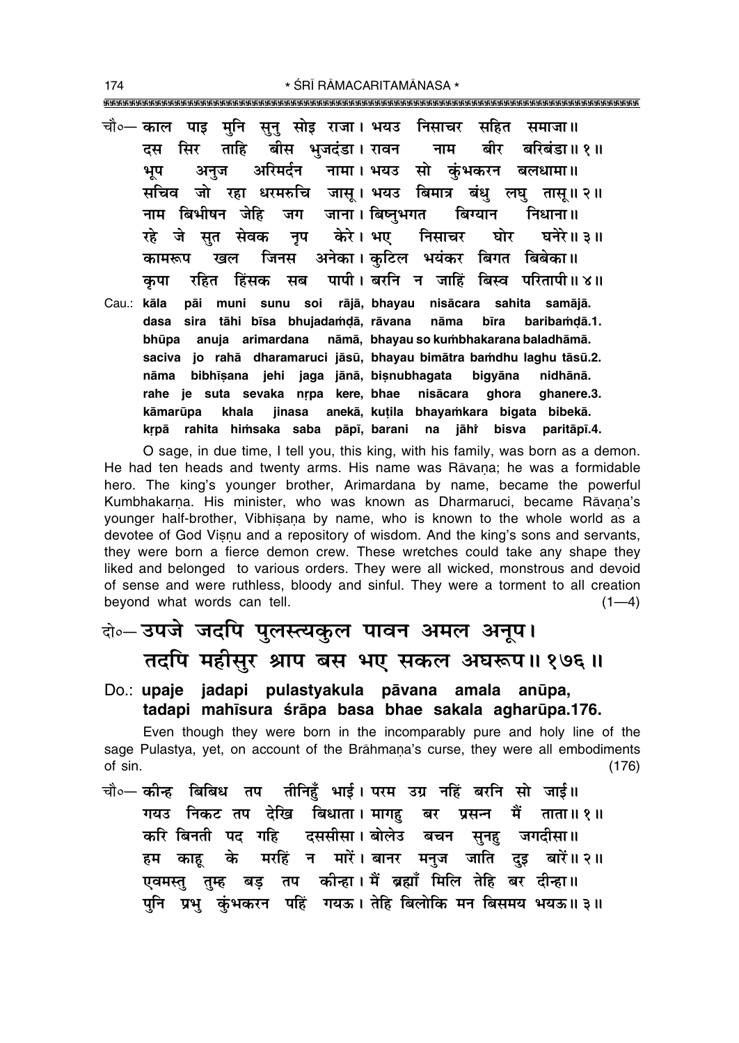\* ŚRĪ RĀMACARITAMĀNASA \* 

चौ∘— काल पाइ मुनि सुनु सोइ राजा। भयउ निसाचर सहित समाजा॥ नाम दस सिर ताहि बीस भजदंडा । रावन बीर बरिबंडा॥१॥ अरिमर्दन नामा। भयउ सो कुंभकरन बलधामा॥ भूप अनज सचिव जो रहा धरमरुचि जासु। भयउ बिमात्र बंधु लघु तासु॥२॥ नाम बिभीषन जेहि जाना । बिष्नभगत जग बिग्यान निधाना ॥ नृप केरे। भए निसाचर घोर घनेरे॥ ३॥ रहे जे सत सेवक जिनस अनेका। कटिल भयंकर बिगत बिबेका॥ कामरूप खल सब पापी। बरनि न जाहिं बिस्व परितापी॥४॥ कपा रहित हिंसक Cau.: kāla pāi muni sunu soi rājā, bhayau nisācara sahita samājā. dasa sira tāhi bīsa bhujadamdā, rāvana nāma bīra baribamdā.1. bhūpa anuja arimardana nāmā, bhayau so kumbhakarana baladhāmā. saciva jo rahā dharamaruci jāsū, bhayau bimātra bamdhu laghu tāsū.2. nāma bibhīṣana jehi jaga jānā, biṣnubhagata bigyāna nidhānā. rahe je suta sevaka nrpa kere, bhae nisācara qhora ghanere.3. jinasa anekā, kutila bhayamkara bigata bibekā. kāmarūpa khala kṛpā rahita hiṁsaka saba pāpī, barani na jāhi bisva paritāpī.4.

O sage, in due time, I tell you, this king, with his family, was born as a demon. He had ten heads and twenty arms. His name was Rāvana; he was a formidable hero. The king's younger brother, Arimardana by name, became the powerful Kumbhakarna. His minister, who was known as Dharmaruci, became Rāvana's younger half-brother, Vibhisana by name, who is known to the whole world as a devotee of God Visnu and a repository of wisdom. And the king's sons and servants, they were born a fierce demon crew. These wretches could take any shape they liked and belonged to various orders. They were all wicked, monstrous and devoid of sense and were ruthless, bloody and sinful. They were a torment to all creation beyond what words can tell.  $(1-4)$ 

## बे॰- उपजे जदपि पुलस्त्यकुल पावन अमल अनूप। तदपि महीसूर श्राप बस भए सकल अघरूप॥१७६॥

Do.: upaje jadapi pulastyakula pāvana amala anūpa, tadapi mahīsura śrāpa basa bhae sakala agharūpa.176.

Even though they were born in the incomparably pure and holy line of the sage Pulastya, yet, on account of the Brāhmana's curse, they were all embodiments of sin.  $(176)$ 

चौ०— कीन्ह बिबिध तप तीनिहँ भाई। परम उग्र नहिं बरनि सो जाई॥ गयउ निकट तप देखि बिधाता। मागहु बर प्रसन्न मैं ताता॥१॥ करि बिनती पद गहि दससीसा।बोलेउ बचन सूनहु जगदीसा॥ मरहिं न मारें। बानर मनुज जाति दुइ बारें॥ २॥ के हम काह एवमस्तु तुम्ह बड़ तप कीन्हा।मैं ब्रह्माँ मिलि तेहि बर दीन्हा॥ पनि प्रभु कुंभकरन पहिं गयऊ। तेहि बिलोकि मन बिसमय भयऊ॥३॥

174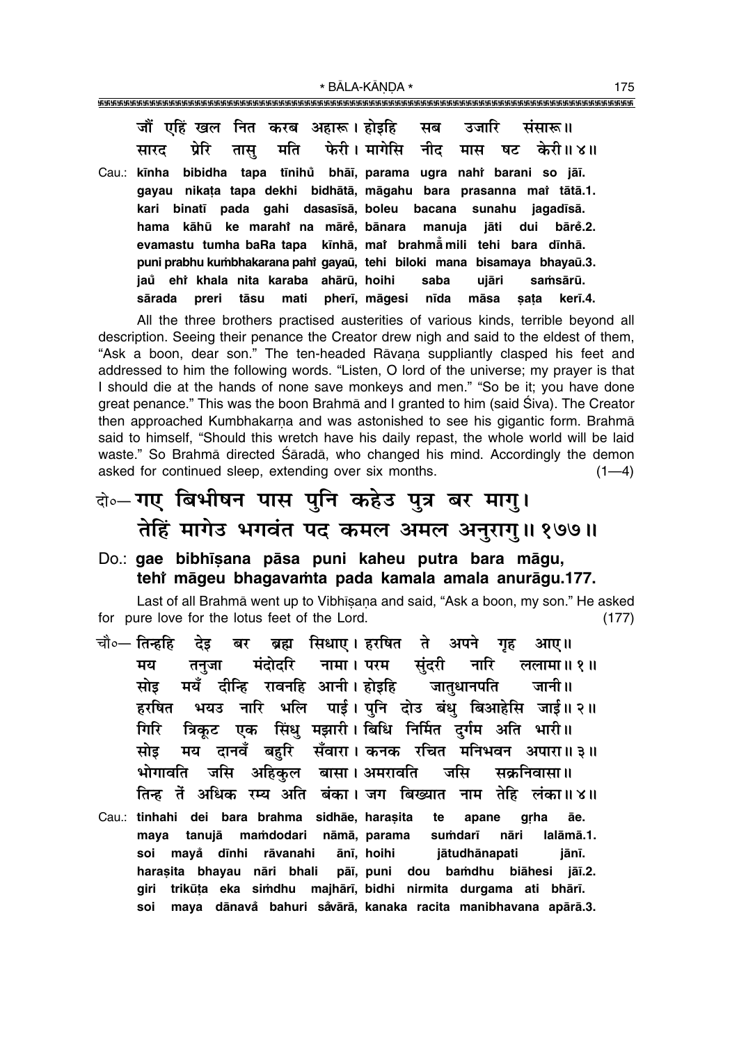| जौं एहिं खल नित करब अहारू। होइहि सब उजारि संसारू॥                        |
|--------------------------------------------------------------------------|
| सारद प्रेरि तासु मति फेरी।मागेसि नीद मास षट केरी॥४॥                      |
| Cau.: kīnha bibidha tapa tīnihů bhāī, parama ugra nahř barani so jāī.    |
| gayau nikata tapa dekhi bidhātā, māgahu bara prasanna mai tātā.1.        |
| kari binatī pada gahi dasasīsā, boleu bacana sunahu jagadīsā.            |
| hama kāhū ke marahi na māre, bānara manuja jāti dui bāre.2.              |
| evamastu tumha baRa tapa kīnhā, mai brahmāmili tehi bara dīnhā.          |
| puni prabhu kumbhakarana pahi gayaū, tehi biloki mana bisamaya bhayaū.3. |
| jaŭ ehr khala nita karaba ahārū, hoihi saba<br>ujāri<br>saṁsārū.         |
| preri tāsu mati pherī, māgesi nīda māsa<br>sata kerī.4.<br>sārada        |

All the three brothers practised austerities of various kinds, terrible beyond all description. Seeing their penance the Creator drew nigh and said to the eldest of them, "Ask a boon, dear son." The ten-headed Rāvana suppliantly clasped his feet and addressed to him the following words. "Listen, O lord of the universe; my prayer is that I should die at the hands of none save monkeys and men." "So be it; you have done great penance." This was the boon Brahma and I granted to him (said Siva). The Creator then approached Kumbhakarna and was astonished to see his gigantic form. Brahma said to himself, "Should this wretch have his daily repast, the whole world will be laid waste." So Brahmā directed Śāradā, who changed his mind. Accordingly the demon asked for continued sleep, extending over six months.  $(1-4)$ 

## के-गए बिभीषन पास पुनि कहेउ पुत्र बर मागु। तेहिं मागेउ भगवंत पद कमल अमल अनुरागु॥ १७७॥

#### Do.: gae bibhīsana pāsa puni kaheu putra bara māgu, tehi māgeu bhagavamta pada kamala amala anurāgu.177.

Last of all Brahma went up to Vibhisana and said, "Ask a boon, my son." He asked for pure love for the lotus feet of the Lord.  $(177)$ 

- ब्रह्म सिधाए। हरषित ते अपने गृह चौ०— तिन्हहि टेड बर आए॥ मंदोदरि नामा। परम सुंदरी नारि मय तनजा ललामा ॥ १ ॥ मयँ दीन्हि रावनहि आनी। होइहि मोड जातधानपति जानी ॥ हरषित भयउ नारि भलि पाई। पुनि दोउ बंधु बिआहेसि जाई॥ २॥ त्रिकूट एक सिंधु मझारी।विधि निर्मित दुर्गम अति भारी॥ गिरि मय दानवँ बहुरि सँवारा। कनक रचित मनिभवन अपारा॥३॥ सोड भोगावति जसि अहिकल बासा।अमरावति जसि सकनिवासा ॥ तिन्ह तें अधिक रम्य अति बंका। जग बिख्यात नाम तेहि लंका॥४॥
- Cau.: tinhahi dei bara brahma sidhāe, harașita te apane grha āe. tanujā mamdodari nāmā, parama lalāmā.1. maya sumdarī nāri soi mayå dīnhi rāvanahi ānī, hoihi jātudhānapati jānī. harasita bhayau nāri bhali bamdhu biāhesi jāī.2. pāī, puni dou giri trikūța eka simdhu majhārī, bidhi nirmita durgama ati bhārī. soi maya dānavå bahuri såvārā, kanaka racita manibhavana apārā.3.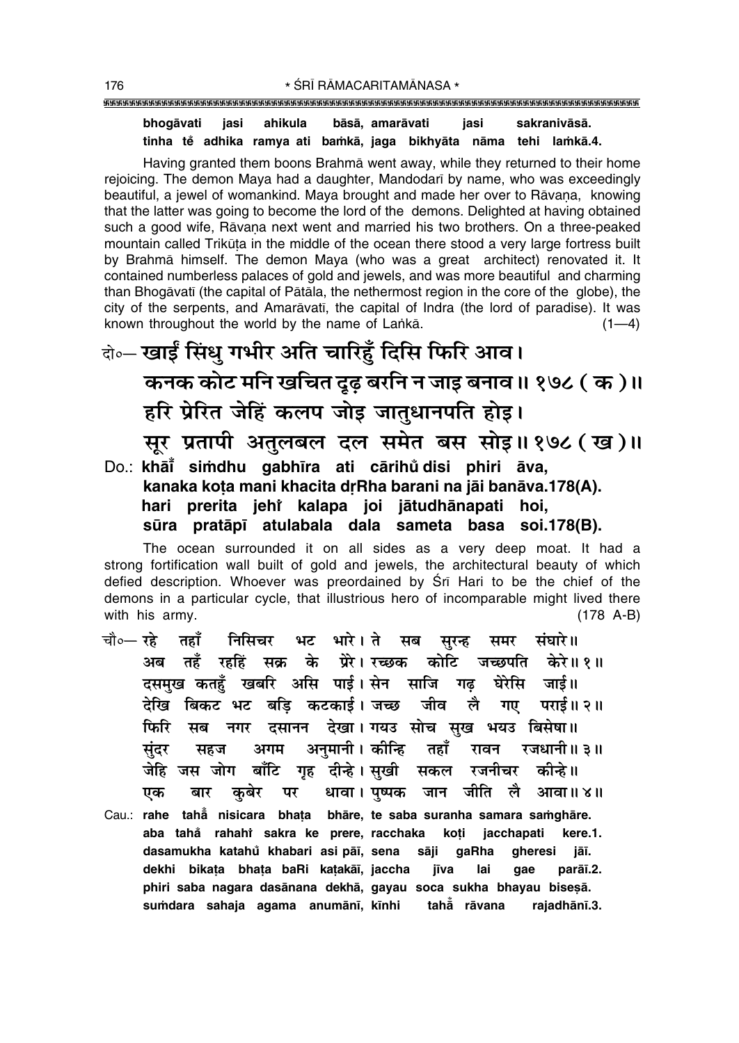#### bhogāvati jasi ahikula bāsā, amarāvati jasi sakranivāsā. tinha tě adhika ramya ati bamkā, jaga bikhyāta nāma tehi lamkā.4.

Having granted them boons Brahma went away, while they returned to their home rejoicing. The demon Maya had a daughter, Mandodarī by name, who was exceedingly beautiful, a jewel of womankind. Maya brought and made her over to Rāvana, knowing that the latter was going to become the lord of the demons. Delighted at having obtained such a good wife, Rāvana next went and married his two brothers. On a three-peaked mountain called Trikūta in the middle of the ocean there stood a very large fortress built by Brahma himself. The demon Maya (who was a great architect) renovated it. It contained numberless palaces of gold and jewels, and was more beautiful and charming than Bhogāvatī (the capital of Pātāla, the nethermost region in the core of the globe), the city of the serpents, and Amarāvatī, the capital of Indra (the lord of paradise). It was known throughout the world by the name of Lanka.  $(1-4)$ 

- वे॰– खाईं सिंधु गभीर अति चारिहूँ दिसि फिरि आव। कनक कोट मनि खचित दूढ़ बरनि न जाइ बनाव॥ १७८ ( क )॥ हरि प्रेरित जेहिं कलप जोड़ जातुधानपति होड़। सूर प्रतापी अतुलबल दल समेत बस सोइ॥१७८ (ख)॥
- Do.: khāi simdhu gabhīra ati cārihů disi phiri āva, kanaka kota mani khacita drRha barani na jāi banāva.178(A). hari prerita jehi kalapa joi jātudhānapati hoi, sūra pratāpī atulabala daļa sameta basa soi.178(B).

The ocean surrounded it on all sides as a very deep moat. It had a strong fortification wall built of gold and jewels, the architectural beauty of which defied description. Whoever was preordained by Srī Hari to be the chief of the demons in a particular cycle, that illustrious hero of incomparable might lived there with his army.  $(178 A-B)$ 

- भट भारे। ते सब चौ०— **रहे** तहाँ निसिचर समर संघारे।। सरन्ह अब तहँ रहहिं सक्र के प्रेरे। रच्छक कोटि जच्छपति केरे॥१॥ दसमख कतहँ खबरि असि पाई।सेन साजि गढ घेरेसि जार्ड ॥ देखि बिकट भट बडि कटकाई। जच्छ जीव लै गा पराई॥ २॥ सब नगर दसानन देखा।गयउ सोच सुख भयउ बिसेषा॥ फिरि अनुमानी। कीन्हि तहाँ संदर सहज अगम रावन रजधानी॥ ३॥ गृह दीन्हे।सुखी सकल जेहि जस जोग बाँटि कीन्हे ॥ रजनीचर कबेर धावा। पष्पक जान जीति लै एक बार पर आवा ॥ ४॥
- Cau.: rahe taha nisicara bhata bhare, te saba suranha samara samghare. aba tahå rahahř sakra ke prere, racchaka koți jacchapati kere.1. dasamukha katahů khabari asi pāī, sena sāji qaRha qheresi jāī. dekhi bikata bhata baRi katakāī, jaccha iīva lai qae parāī.2. phiri saba nagara dasānana dekhā, gayau soca sukha bhayau bisesā. sumdara sahaja agama anumānī, kīnhi tahẳ rāvana rajadhānī.3.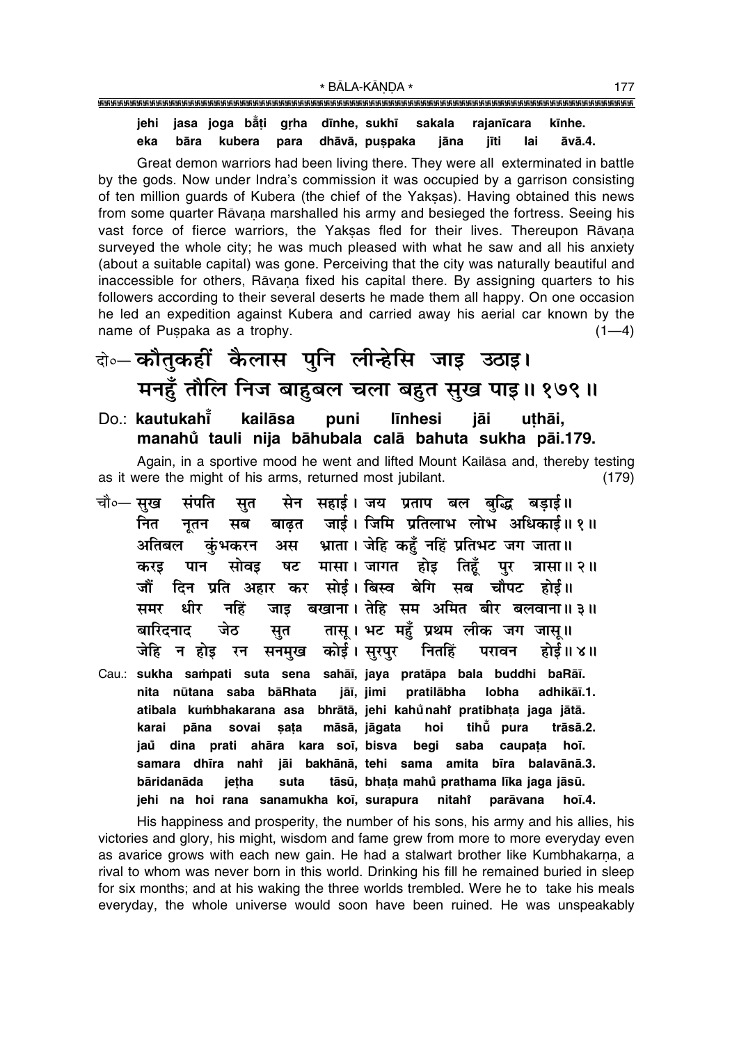#### jasa joga bati grha dīnhe, sukhī jehi sakala rajanīcara kīnhe. para dhāvā, puspaka bāra kubera jāna jīti lai āvā.4. eka

Great demon warriors had been living there. They were all exterminated in battle by the gods. Now under Indra's commission it was occupied by a garrison consisting of ten million guards of Kubera (the chief of the Yaksas). Having obtained this news from some quarter Rāvana marshalled his army and besieged the fortress. Seeing his vast force of fierce warriors, the Yaksas fled for their lives. Thereupon Rāvana surveyed the whole city; he was much pleased with what he saw and all his anxiety (about a suitable capital) was gone. Perceiving that the city was naturally beautiful and inaccessible for others, Rāvana fixed his capital there. By assigning quarters to his followers according to their several deserts he made them all happy. On one occasion he led an expedition against Kubera and carried away his aerial car known by the name of Puspaka as a trophy.  $(1-4)$ 

# के- कौतुकहीं कैलास पुनि लीन्हेसि जाइ उठाइ। मनहुँ तौलि निज बाहुबल चला बहुत सुख पाइ॥ १७९॥

**līnhesi** Do.: kautukahi kailāsa puni iāi uthāi. manahů tauli nija bāhubala calā bahuta sukha pāi.179.

Again, in a sportive mood he went and lifted Mount Kailasa and, thereby testing as it were the might of his arms, returned most jubilant.  $(179)$ 

- सेन सहाई। जय प्रताप बल बद्धि बडाई॥ चौ०— सख संपति सत बाढत जाई। जिमि प्रतिलाभ लोभ अधिकाई॥१॥ नित नतन सब भ्राता । जेहि कहँ नहिं प्रतिभट जग जाता॥ अतिबल कंभकरन अस षट मासा। जागत होइ तिहँ सोवड पर त्रासा॥ २॥ करड पान जौं दिन प्रति अहार कर सोई।बिस्व बेगि सब चौपट होई॥ जाड़ बखाना। तेहि सम अमित बीर बलवाना॥३॥ समर धीर नहिं तासू। भट महुँ प्रथम लीक जग जासू॥ बारिदनाद जेठ सूत कोई। सरपर नितहिं जेहि न होड रन सनमुख परावन होई॥ ४॥
- Cau.: sukha sampati suta sena sahāī, jaya pratāpa bala buddhi baRāī. nita nūtana saba bāRhata jāī, jimi pratilābha lobha adhikāī.1. atibala kumbhakarana asa bhrātā, jehi kahůnahi pratibhata jaga jātā. tihů pura karai pāna sovai sața māsā, jāgata hoi trāsā.2. jaŭ dina prati ahāra kara soī, bisva begi saba hoī. caupata jāi bakhānā, tehi sama amita bīra balavānā.3. samara dhīra nahì tāsū, bhata mahů prathama līka jaga jāsū. bāridanāda jetha suta jehi na hoi rana sanamukha koi, surapura nitahi parāvana hoī.4.

His happiness and prosperity, the number of his sons, his army and his allies, his victories and glory, his might, wisdom and fame grew from more to more everyday even as avarice grows with each new gain. He had a stalwart brother like Kumbhakarna, a rival to whom was never born in this world. Drinking his fill he remained buried in sleep for six months; and at his waking the three worlds trembled. Were he to take his meals everyday, the whole universe would soon have been ruined. He was unspeakably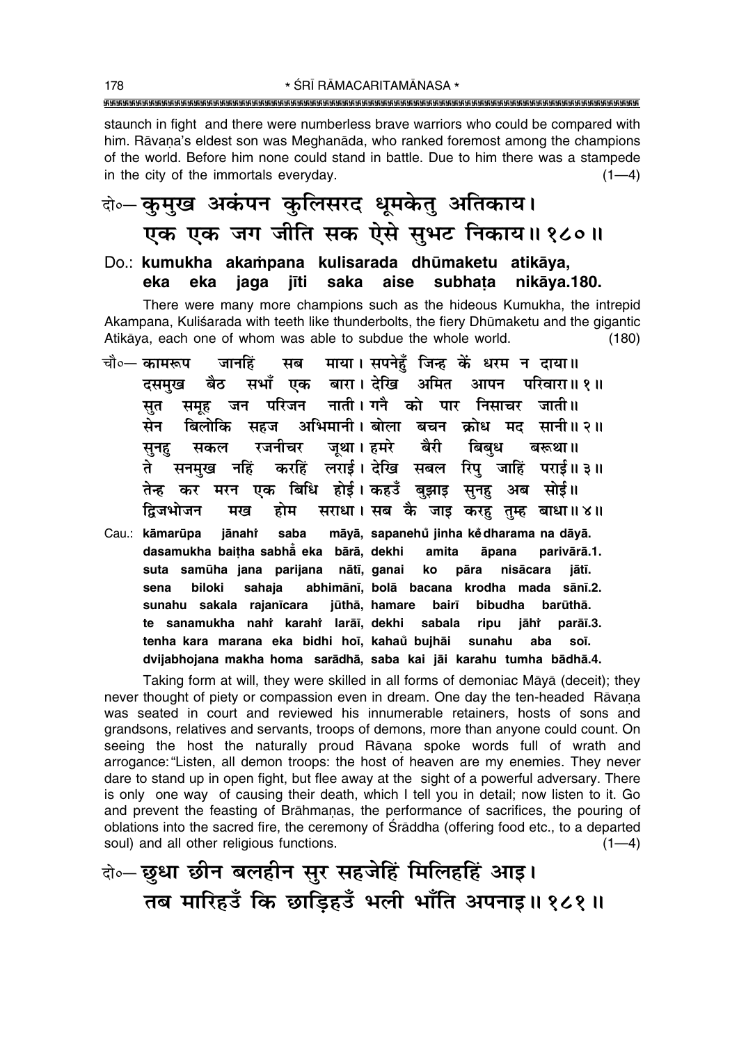staunch in fight and there were numberless brave warriors who could be compared with him. Råvana's eldest son was Meghanåda, who ranked foremost among the champions of the world. Before him none could stand in battle. Due to him there was a stampede in the city of the immortals everyday.  $(1-4)$ 

### दो∘– **कुमुख अकंपन कुलिसरद धूमकेतु अतिकाय। एक एक जग जीति सक ऐसे सुभट निकाय॥१८०॥**

Do.: **kumukha akampana kulisarada dhūmaketu atikāya, eka eka jaga j∂ti saka aise subha¢a nikåya.180.**

There were many more champions such as the hideous Kumukha, the intrepid Akampana, Kulisarada with teeth like thunderbolts, the fiery Dhūmaketu and the gigantic Atikåya, each one of whom was able to subdue the whole world. (180)

- चौ०— कामरूप जानहिं सब माया । सपनेहँ जिन्ह कें धरम न दाया ॥ दसमख बैठ सभाँ एक बारा।**देखि अमित आपन परिवारा॥१॥** सूत समूह जन परिजन नाती।गनै को पार निसाचर जाती॥ सेन बिलोकि सहज अभिमानी।बोला बचन क्रोध मद सानी॥२॥ सूनह सकल रजनीचर जृथा । हमरे बैरी बिबुध बरूथा ॥ ते सनमख नहिं करहिं लराई। देखि सबल रिप जाहिं पराई॥ ३॥ तेन्ह कर मरन एक बिधि होई।कहउँ बुझाइ सुनहु अब सोई॥ द्विजभोजन मख होम सराधा। सब कै जाइ करहु तुम्ह बाधा॥४॥
- Cau.: **kāmarūpa jānahi saba måyå, sapanehu° jinha ke dharama na dåyå. ° dasamukha bai¢ha sabhå° eka bårå, dekhi amita åpana parivårå.1.** suta samūha jana parijana nātī, ganai ko pāra nisācara jātī. **sena biloki sahaja abhimån∂, bolå bacana krodha mada sån∂.2. sunahu sakala rajan∂cara jµuthå, hamare bair∂ bibudha barµuthå. te sanamukha nahiÚ karahiÚ larå∂, dekhi sabala ripu jåhiÚ parå∂.3. tenha kara marana eka bidhi ho∂, kahau° bujhåi sunahu aba so∂. dvijabhojana makha homa sarådhå, saba kai jåi karahu tumha bådhå.4.**

Taking form at will, they were skilled in all forms of demoniac Måyå (deceit); they never thought of piety or compassion even in dream. One day the ten-headed Rāvana was seated in court and reviewed his innumerable retainers, hosts of sons and grandsons, relatives and servants, troops of demons, more than anyone could count. On seeing the host the naturally proud Rāvana spoke words full of wrath and arrogance: "Listen, all demon troops: the host of heaven are my enemies. They never dare to stand up in open fight, but flee away at the sight of a powerful adversary. There is only one way of causing their death, which I tell you in detail; now listen to it. Go and prevent the feasting of Brāhmanas, the performance of sacrifices, the pouring of oblations into the sacred fire, the ceremony of Sraddha (offering food etc., to a departed soul) and all other religious functions.  $(1-4)$ 

दो**०– छुधा छीन बलहीन सुर सहजेहिं मिलिहहिं आइ।** तब मारिहउँ कि छाडिहउँ भली भाँति अपनाइ॥ १८१॥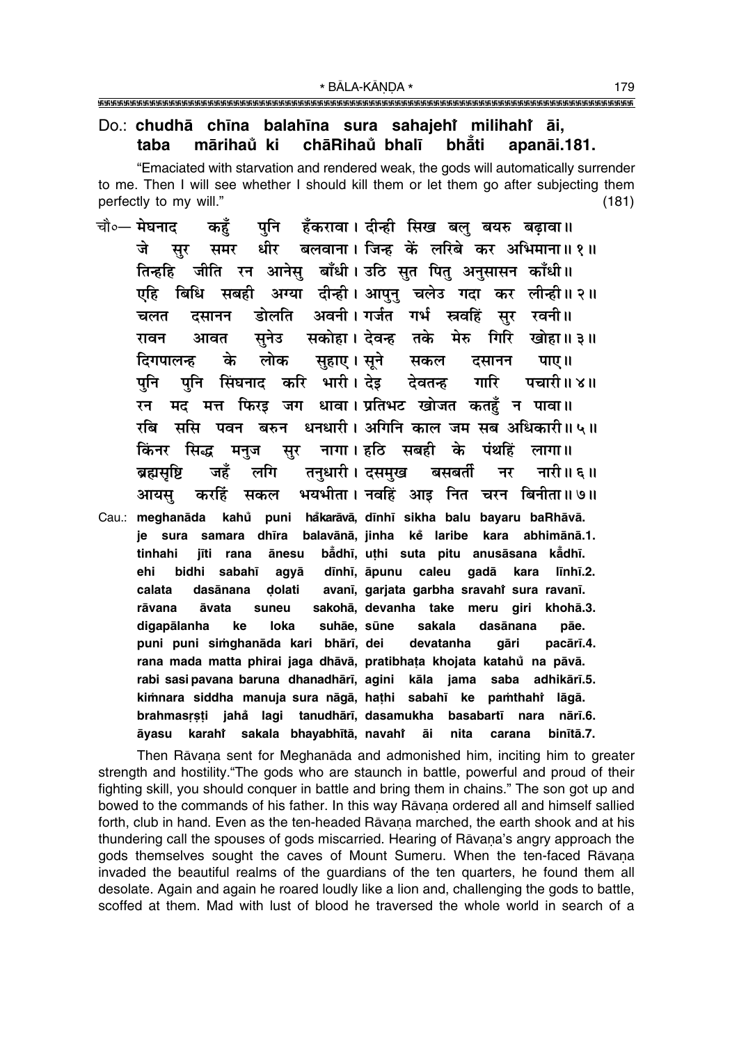#### Do.: chudhā chīna balahīna sura sahajehi milihahi āi, mārihaů ki chāRihaů bhalī bhăti taba apanāi.181.

"Emaciated with starvation and rendered weak, the gods will automatically surrender to me. Then I will see whether I should kill them or let them go after subjecting them perfectly to my will."  $(181)$ 

- पनि हँकरावा। दीन्ही सिख बल बयरु बढावा॥ चौ०— मेघनाट कहँ धीर बलवाना। जिन्ह कें लरिबे कर अभिमाना॥ १॥ जे समर सर जीति रन आनेसु बाँधी। उठि सुत पितु अनुसासन काँधी॥ तिन्हहि बिधि सबही अग्या दीन्ही।आपन् चलेउ गदा कर लीन्ही॥२॥ एहि डोलति अवनी।गर्जत गर्भ स्रवहिं सर रवनी॥ चलत दस्रानन सनेउ सकोहा। देवन्ह तके मेरु गिरि खोहा॥३॥ रावन आवत लोक सुहाए । सूने दिगपालन्ह के सकल दसानन पाए ॥ पुनि सिंघनाद करि भारी। देइ पनि देवतन्न गारि पचारी॥४॥ रन मद मत्त फिरड जग धावा।प्रतिभट खोजत कतहँ न पावा॥ बरुन धनधारी। अगिनि काल जम सब अधिकारी॥५॥ रवि ससि पवन सर नागा। हठि सबही के पंथहिं किंनर सिद्ध लागा।। मनज लगि तनुधारी । दसमुख बसबर्ती जहँ नर नारी॥६॥ ब्रह्मसांष्ट्र भयभीता। नवहिं आइ नित चरन बिनीता॥७॥ करहिं आयस सकल
- puni håkarāvā, dīnhī sikha balu bayaru baRhāvā. Cau.: meghanāda kahů balavānā, jinha ke laribe kara abhimānā.1. ie sura samara dhīra tinhahi rana ānesu badhī, uthi suta pitu anusāsana kadhī. jīti ehi bidhi sabahī agyā dīnhī, āpunu caleu gadā līnhī.2. kara calata dasānana dolati avanī, garjata garbha sravahi sura ravanī. āvata suneu sakohā, devanha take meru giri khohā.3. rāvana suhāe, sūne digapālanha ke **loka** dasānana pāe. sakala puni puni simghanāda kari bhārī, dei devatanha qāri pacārī.4. rana mada matta phirai jaga dhāvā, pratibhata khojata katahů na pāvā. rabi sasi pavana baruna dhanadhārī, agini kāla jama saba adhikārī.5. kimnara siddha manuja sura nāgā, hathi sabahī ke pamthahi lāgā. brahmasrsti jahå lagi tanudhārī, dasamukha basabartī nara nārī.6. āvasu karahi sakala bhayabhītā, navahi āi nita carana binītā.7.

Then Rāvana sent for Meghanāda and admonished him, inciting him to greater strength and hostility."The gods who are staunch in battle, powerful and proud of their fighting skill, you should conquer in battle and bring them in chains." The son got up and bowed to the commands of his father. In this way Rāvana ordered all and himself sallied forth, club in hand. Even as the ten-headed Rāvana marched, the earth shook and at his thundering call the spouses of gods miscarried. Hearing of Rāvana's angry approach the gods themselves sought the caves of Mount Sumeru. When the ten-faced Rāvana invaded the beautiful realms of the guardians of the ten quarters, he found them all desolate. Again and again he roared loudly like a lion and, challenging the gods to battle, scoffed at them. Mad with lust of blood he traversed the whole world in search of a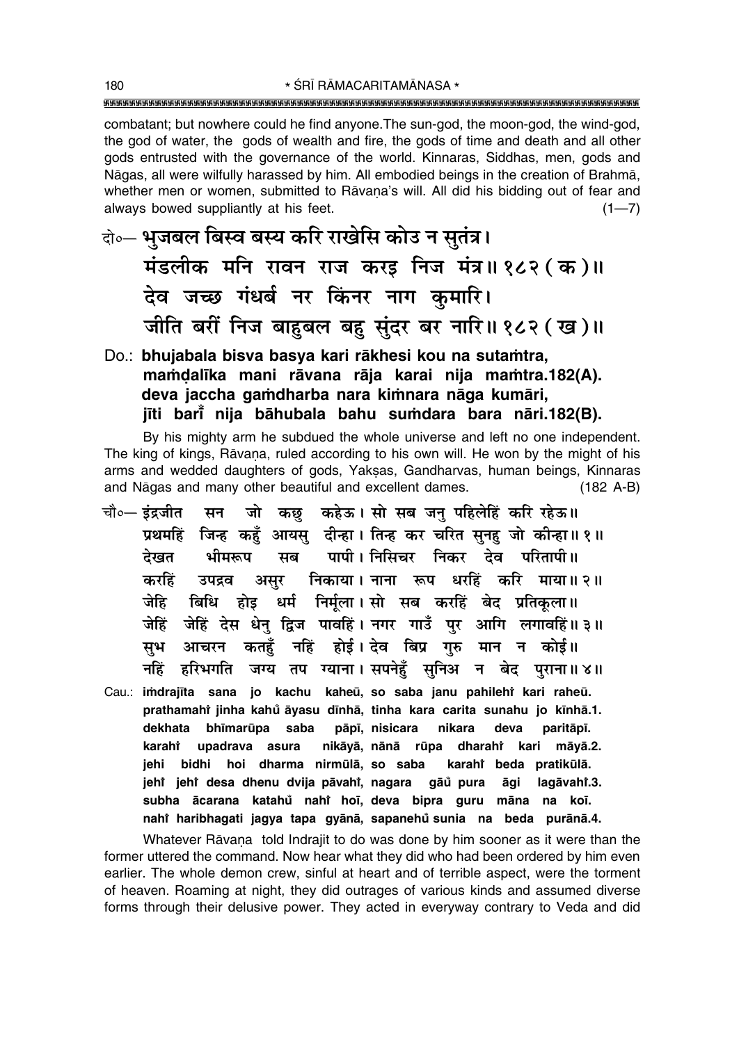combatant; but nowhere could he find anyone. The sun-god, the moon-god, the wind-god, the god of water, the gods of wealth and fire, the gods of time and death and all other gods entrusted with the governance of the world. Kinnaras, Siddhas, men, gods and Nāgas, all were wilfully harassed by him. All embodied beings in the creation of Brahmā, whether men or women, submitted to Rāvana's will. All did his bidding out of fear and always bowed suppliantly at his feet.  $(1 - 7)$ 

वो०- भुजबल बिस्व बस्य करि राखेसि कोउ न सतंत्र। मंडलीक मनि रावन राज करइ निज मंत्र॥१८२ (क)॥ देव जच्छ गंधर्ब नर किंनर नाग कुमारि। जीति बरीं निज बाहुबल बहु सुंदर बर नारि॥ १८२ ( ख )॥

### Do.: bhujabala bisva basya kari rākhesi kou na sutamtra, mamdalīka mani rāvana rāja karai nija mamtra.182(A). deva jaccha gamdharba nara kimnara nāga kumāri, jīti barī nija bāhubala bahu sumdara bara nāri.182(B).

By his mighty arm he subdued the whole universe and left no one independent. The king of kings, Rāvana, ruled according to his own will. He won by the might of his arms and wedded daughters of gods, Yaksas, Gandharvas, human beings, Kinnaras and Nāgas and many other beautiful and excellent dames.  $(182 A-B)$ 

- जो कछ कहेऊ। सो सब जन पहिलेहिं करि रहेऊ॥ चौ०— इंद्रजीत सन प्रथमहिं जिन्ह कहुँ आयसु दीन्हा। तिन्ह कर चरित सुनहु जो कीन्हा॥१॥ पापी। निसिचर निकर देव परितापी॥ देखत भीमरूप सब उपद्रव असर निकाया। नाना रूप धरहिं करि माया॥२॥ करहिं जेहि बिधि होइ धर्म निर्मुला।सो सब करहिं बेद प्रतिकुला॥ जेहिं जेहिं देस धेन् द्विज पावहिं। नगर गाउँ पुर आगि लगावहिं॥३॥ आचरन कतहुँ नहिं होई।देव बिप्र गुरु मान न कोई॥ सुभ नहिं हरिभगति जग्य तप ग्याना।सपनेहँ सुनिअ न बेद पुराना॥४॥
- Cau.: imdrajīta sana jo kachu kaheū, so saba janu pahileht kari raheū. prathamahi jinha kahů āyasu dīnhā, tinha kara carita sunahu jo kīnhā.1. dekhata bhīmarūpa saba pāpī, nisicara nikara deva paritāpī. karahi upadrava asura nikāyā, nānā rūpa dharahi kari māyā.2. jehi bidhi hoi dharma nirmūlā, so saba karahî beda pratikūlā. jehî jehî desa dhenu dvija pāvahî, nagara gāŭ pura āqi lagāvahi.3. subha ācarana katahů nahř hoi, deva bipra guru māna na koi. nahi haribhagati jagya tapa gyānā, sapanehů sunia na beda purānā.4.

Whatever Rāvana told Indrajit to do was done by him sooner as it were than the former uttered the command. Now hear what they did who had been ordered by him even earlier. The whole demon crew, sinful at heart and of terrible aspect, were the torment of heaven. Roaming at night, they did outrages of various kinds and assumed diverse forms through their delusive power. They acted in everyway contrary to Veda and did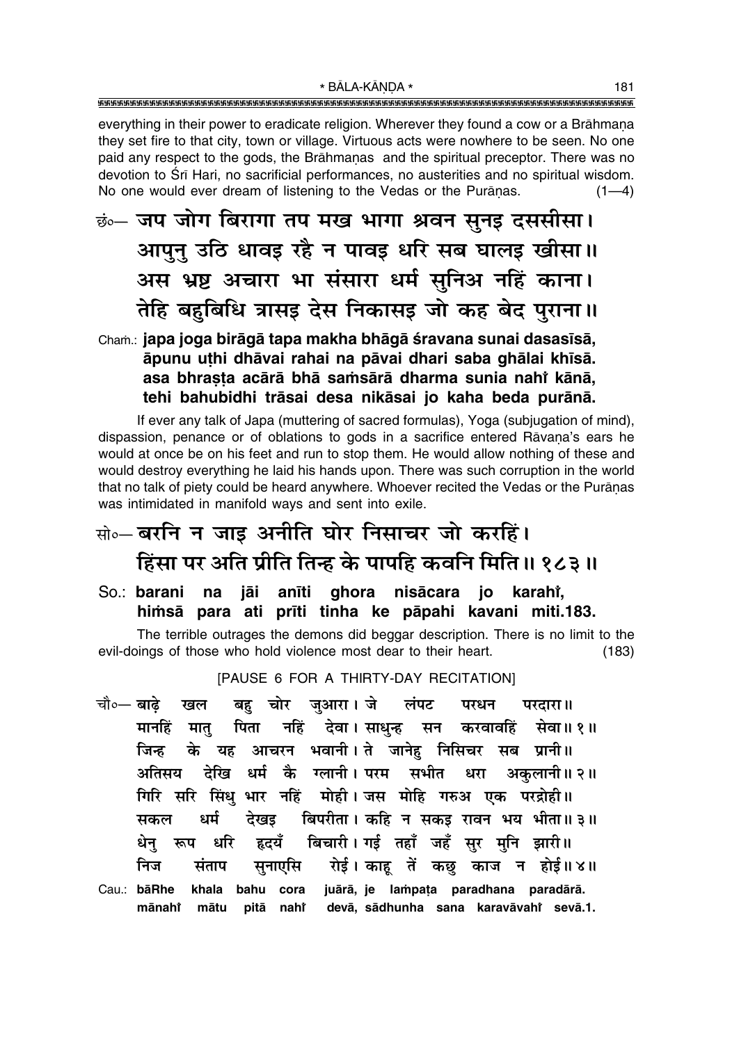everything in their power to eradicate religion. Wherever they found a cow or a Brāhmana they set fire to that city, town or village. Virtuous acts were nowhere to be seen. No one paid any respect to the gods, the Brāhmanas and the spiritual preceptor. There was no devotion to Śrī Hari, no sacrificial performances, no austerities and no spiritual wisdom. No one would ever dream of listening to the Vedas or the Purānas.  $(1-4)$ 

- कं— जप जोग बिरागा तप मख भागा श्रवन सुनइ दससीसा। आपन उठि धावइ रहै न पावइ धरि सब घालइ खीसा॥ अस भ्रष्ट अचारा भा संसारा धर्म सुनिअ नहिं काना। तेहि बहुबिधि त्रासड़ देस निकासड़ जो कह बेद पुराना।।
- Cham.: japa joga birāgā tapa makha bhāgā śravana sunai dasasīsā, āpunu uthi dhāvai rahai na pāvai dhari saba ghālai khīsā. asa bhrasta acārā bhā samsārā dharma sunia nahi kānā, tehi bahubidhi trāsai desa nikāsai jo kaha beda purānā.

If ever any talk of Japa (muttering of sacred formulas), Yoga (subjugation of mind), dispassion, penance or of oblations to gods in a sacrifice entered Rāvana's ears he would at once be on his feet and run to stop them. He would allow nothing of these and would destroy everything he laid his hands upon. There was such corruption in the world that no talk of piety could be heard anywhere. Whoever recited the Vedas or the Puranas was intimidated in manifold ways and sent into exile.

### क्षे∘- बरनि न जाड़ अनीति घोर निसाचर जो करहिं। हिंसा पर अति प्रीति तिन्ह के पापहि कवनि मिति॥ १८३॥

So.: barani na jāi anīti ghora nisācara jo karahi, himsā para ati prīti tinha ke pāpahi kavani miti.183.

The terrible outrages the demons did beggar description. There is no limit to the evil-doings of those who hold violence most dear to their heart.  $(183)$ 

**IPAUSE 6 FOR A THIRTY-DAY RECITATION!** 

चौ∘— **बाढे** बह चोर जआरा। जे लंपट खल परधन परदारा ॥ नहिं देवा।साधुन्ह सन करवावहिं मानहिं मात् पिता सेवा॥ १॥ के यह आचरन भवानी।ते जानेह निसिचर सब प्रानी॥ जिन्ह देखि धर्म कै ग्लानी। परम सभीत धरा अकलानी॥२॥ अतिसय गिरि सरि सिंधु भार नहिं मोही। जस मोहि गरुअ एक परद्रोही॥ देखइ बिपरीता। कहि न सकइ रावन भय भीता॥३॥ धर्म सकल हृदयँ बिचारी। गई तहाँ जहँ सुर मुनि झारी॥ धेन रूप धरि सनाएसि रोई। काह तें कछ काज न होई॥४॥ निज संताप khala bahu cora juārā, je lampata paradhana paradārā. Cau.: bāRhe

mānahi mātu pitā nahi devā, sādhunha sana karavāvahi sevā.1.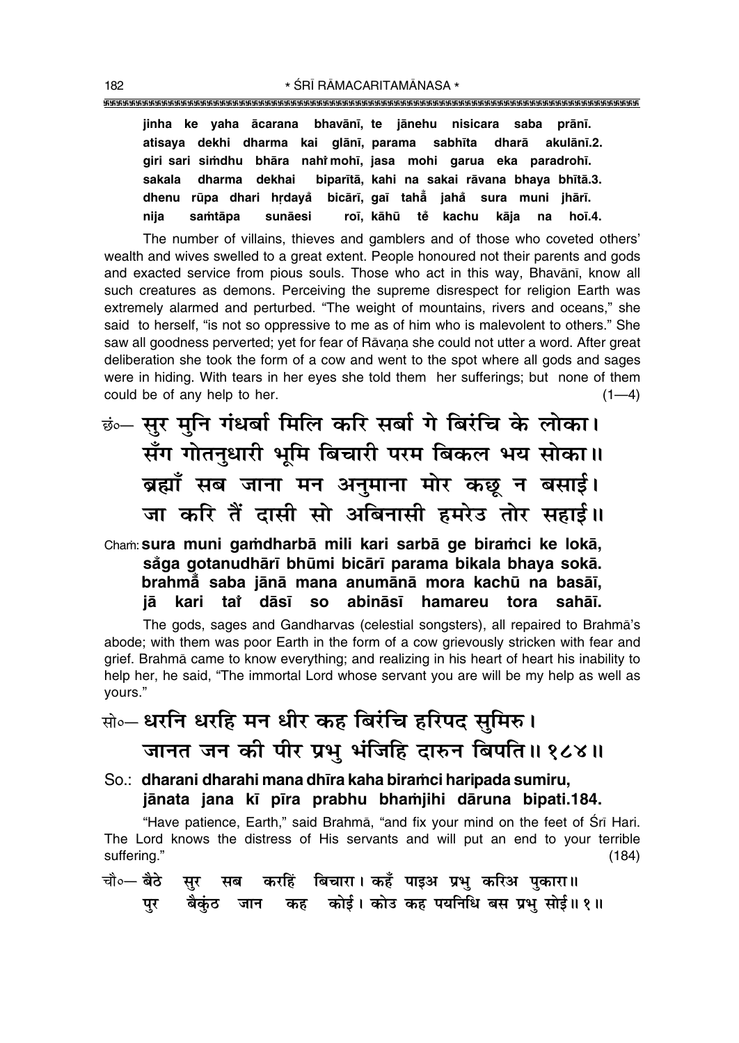jinha ke yaha ācarana bhavānī, te jānehu nisicara saba prānī. atisaya dekhi dharma kai glānī, parama sabhīta dharā akulānī.2. giri sari simdhu bhāra nahimohī, jasa mohi garua eka paradrohī. sakala dharma dekhai biparītā, kahi na sakai rāvana bhaya bhītā.3. dhenu rūpa dhari hrdavå bicārī, gaī tahå iahå sura muni ihārī. sunāesi roī, kāhū tě kachu nija samtāpa kāia na hoī.4.

The number of villains, thieves and gamblers and of those who coveted others' wealth and wives swelled to a great extent. People honoured not their parents and gods and exacted service from pious souls. Those who act in this way, Bhavānī, know all such creatures as demons. Perceiving the supreme disrespect for religion Earth was extremely alarmed and perturbed. "The weight of mountains, rivers and oceans," she said to herself, "is not so oppressive to me as of him who is malevolent to others." She saw all goodness perverted; yet for fear of Rāvana she could not utter a word. After great deliberation she took the form of a cow and went to the spot where all gods and sages were in hiding. With tears in her eyes she told them her sufferings; but none of them could be of any help to her.  $(1-4)$ 

कं सर मूनि गंधर्बा मिलि करि सर्बा गे बिरंचि के लोका। सँग गोतनुधारी भूमि बिचारी परम बिकल भय सोका॥ ब्रह्माँ सब जाना मन अनुमाना मोर कछू न बसाई। जा करि तैं दासी सो अबिनासी हमरेउ तोर सहाई।।

Cham: sura muni qamdharbā mili kari sarbā qe biramci ke lokā, såga gotanudhārī bhūmi bicārī parama bikala bhaya sokā. brahmā saba jānā mana anumānā mora kachū na basāī, kari tai dāsī so abināsī hamareu tora sahāī. jā

The gods, sages and Gandharvas (celestial songsters), all repaired to Brahma's abode; with them was poor Earth in the form of a cow grievously stricken with fear and grief. Brahmā came to know everything; and realizing in his heart of heart his inability to help her, he said, "The immortal Lord whose servant you are will be my help as well as yours."

## सो० - धरनि धरहि मन धीर कह बिरंचि हरिपद सुमिरु। जानत जन की पीर प्रभु भंजिहि दारुन बिपति॥ १८४॥

So.: dharani dharahi mana dhīra kaha biramci haripada sumiru, jānata jana kī pīra prabhu bhamjihi dāruna bipati.184.

"Have patience, Earth," said Brahmā, "and fix your mind on the feet of Srī Hari. The Lord knows the distress of His servants and will put an end to your terrible suffering."  $(184)$ 

सब करहिं बिचारा। कहँ पाइअ प्रभ करिअ पकारा॥ चौ०— बैठे सर बैकंठ जान कह कोई। कोउ कह पयनिधि बस प्रभ सोई॥१॥ पर

182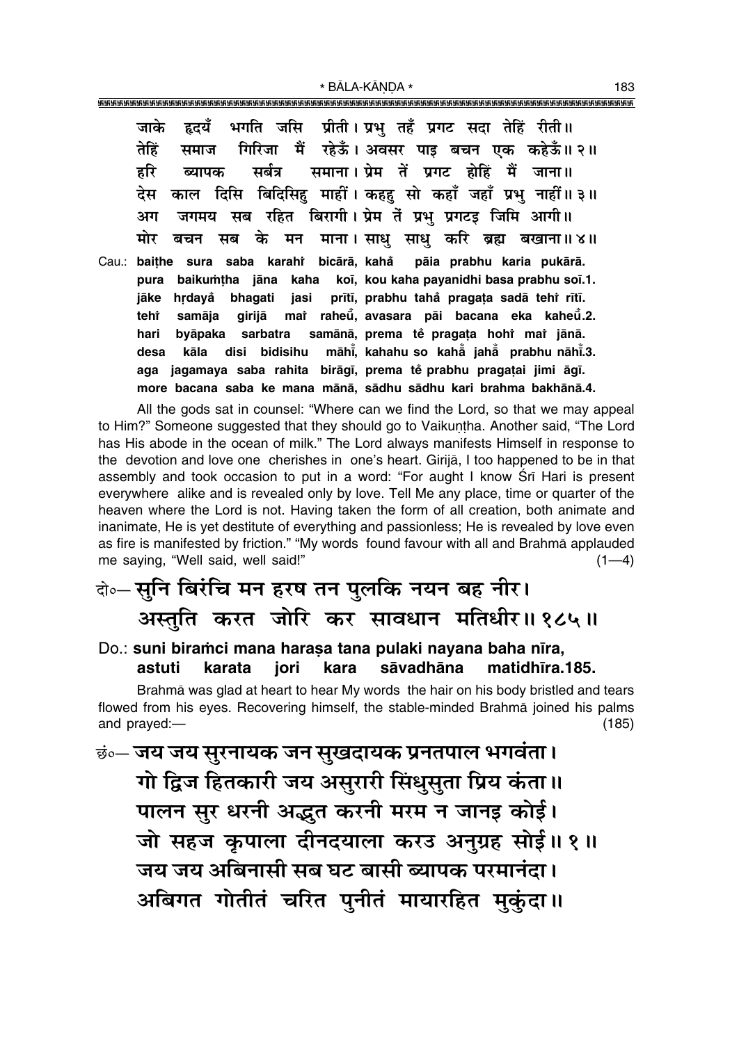जाके हृदयँ भगति जसि प्रीती।प्रभ तहँ प्रगट सदा तेहिं रीती॥ गिरिजा मैं रहेऊँ। अवसर पाइ बचन एक कहेऊँ॥२॥ तेहिं समाज समाना। प्रेम तें प्रगट होहिं मैं जाना॥ हरि सर्बत्र ब्यापक दिसि बिदिसिह माहीं। कहह सो कहाँ जहाँ प्रभु नाहीं॥३॥ देस काल सब रहित बिरागी। प्रेम तें प्रभ प्रगटड जिमि आगी।। अग जगमय मोर माना। साध साध करि ब्रह्म बखाना॥४॥ के बचन मब मन Cau.: baithe sura saba karahî bicārā, kahå pāja prabhu karia pukārā. baikumtha jāna kaha koī, kou kaha payanidhi basa prabhu soī.1. pura jāke hṛdayẳ bhagati jasi prītī, prabhu tahå pragata sadā tehr rītī. teht samāja airijā mar raheū, avasara pāi bacana eka kaheū.2. hari byāpaka sarbatra samānā, prema tě pragata hohř mař jānā. māhi, kahahu so kahā jahā prabhu nāhi.3. desa kāla disi bidisihu aga jagamaya saba rahita birāgī, prema tě prabhu pragațai jimi āgī. more bacana saba ke mana mānā, sādhu sādhu kari brahma bakhānā.4.

All the gods sat in counsel: "Where can we find the Lord, so that we may appeal to Him?" Someone suggested that they should go to Vaikuntha. Another said, "The Lord has His abode in the ocean of milk." The Lord always manifests Himself in response to the devotion and love one cherishes in one's heart. Girija, I too happened to be in that assembly and took occasion to put in a word: "For aught I know Sri Hari is present everywhere alike and is revealed only by love. Tell Me any place, time or quarter of the heaven where the Lord is not. Having taken the form of all creation, both animate and inanimate, He is yet destitute of everything and passionless; He is revealed by love even as fire is manifested by friction." "My words found favour with all and Brahma applauded me saying, "Well said, well said!"  $(1-4)$ 

### बेञ्-सूनि बिरंचि मन हरष तन पुलकि नयन बह नीर। अस्तुति करत जोरि कर सावधान मतिधीर॥१८५॥

#### Do.: suni biramci mana harasa tana pulaki nayana baha nīra, astuti karata iori kara sāvadhāna matidhīra 185.

Brahmā was glad at heart to hear My words the hair on his body bristled and tears flowed from his eyes. Recovering himself, the stable-minded Brahma joined his palms and prayed:- $(185)$ 

छं०— जय जय सुरनायक जन सुखदायक प्रनतपाल भगवंता । गो द्विज हितकारी जय असुरारी सिंधुसुता प्रिय कंता॥ पालन सुर धरनी अद्भुत करनी मरम न जानइ कोई। जो सहज कृपाला दीनदयाला करउ अनुग्रह सोई॥१॥ जय जय अबिनासी सब घट बासी ब्यापक परमानंदा। अबिगत गोतीतं चरित पुनीतं मायारहित मुकुंदा॥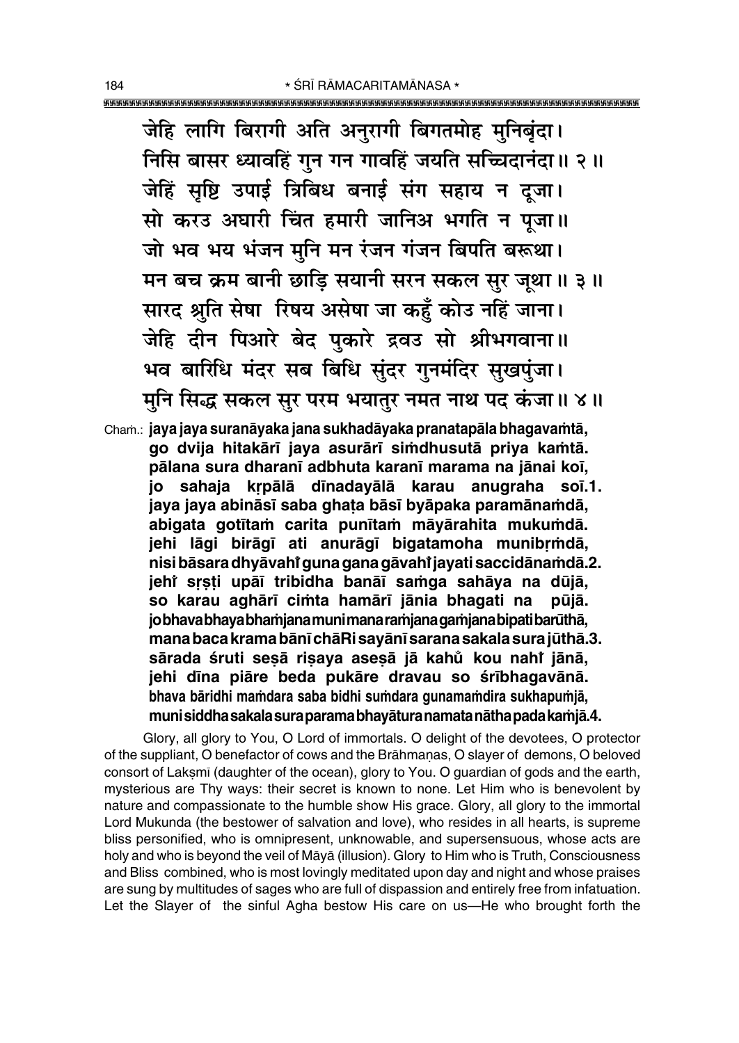जेहि लागि बिरागी अति अनुरागी बिगतमोह मुनिबृंदा। निसि बासर ध्यावहिं गुन गन गावहिं जयति सच्चिदानंदा॥ २॥ जेहिं सृष्टि उपाई त्रिबिध बनाई संग सहाय न दूजा। सो करउ अघारी चिंत हमारी जानिअ भगति न पूजा॥ जो भव भय भंजन मुनि मन रंजन गंजन बिपति बरूथा। मन बच क्रम बानी छाड़ि सयानी सरन सकल सुर जूथा ॥ ३ ॥ सारद श्रुति सेषा रिषय असेषा जा कहुँ कोउ नहिं जाना। जेहि दीन पिआरे बेद पुकारे द्रवउ सो श्रीभगवाना॥ भव बारिधि मंदर सब बिधि सुंदर गुनमंदिर सुखपुंजा। मुनि सिद्ध सकल सुर परम भयातुर नमत नाथ पद कंजा॥ ४॥

Cham.: jaya jaya suranāyaka jana sukhadāyaka pranatapāla bhagavamtā, go dvija hitakārī java asurārī simdhusutā priva kamtā. pālana sura dharanī adbhuta karanī marama na jānai koī, jo sahaja krpālā dīnadayālā karau anugraha soī.1. jaya jaya abināsī saba ghata bāsī byāpaka paramānamdā, abigata gotītam carita punītam māyārahita mukumdā. jehi lāgi birāgī ati anurāgī bigatamoha munibrmdā, nisi bāsara dhyāvahi guna gana gāvahi jayati saccidānamdā.2. jehi srsti upāī tribidha banāī samga sahāya na dūjā, so karau aghārī cimta hamārī jānia bhagati na pūiā. jo bhava bhaya bhamjana muni mana ramjana gamjana bipati barūthā, mana baca krama bānī chā Ri sayānī sarana sakala sura jūthā.3. sārada śruti sesā risaya asesā jā kahů kou nahi jānā, jehi dīna piāre beda pukāre dravau so śrībhagavānā. bhava bāridhi mamdara saba bidhi sumdara gunamamdira sukhapumjā, muni siddha sakala sura parama bhayātura namata nātha pada kamjā.4.

Glory, all glory to You, O Lord of immortals. O delight of the devotees, O protector of the suppliant, O benefactor of cows and the Brāhmanas, O slayer of demons, O beloved consort of Laksmi (daughter of the ocean), glory to You. O guardian of gods and the earth, mysterious are Thy ways: their secret is known to none. Let Him who is benevolent by nature and compassionate to the humble show His grace. Glory, all glory to the immortal Lord Mukunda (the bestower of salvation and love), who resides in all hearts, is supreme bliss personified, who is omnipresent, unknowable, and supersensuous, whose acts are holy and who is beyond the veil of Māyā (illusion). Glory to Him who is Truth, Consciousness and Bliss combined, who is most lovingly meditated upon day and night and whose praises are sung by multitudes of sages who are full of dispassion and entirely free from infatuation. Let the Slayer of the sinful Agha bestow His care on us—He who brought forth the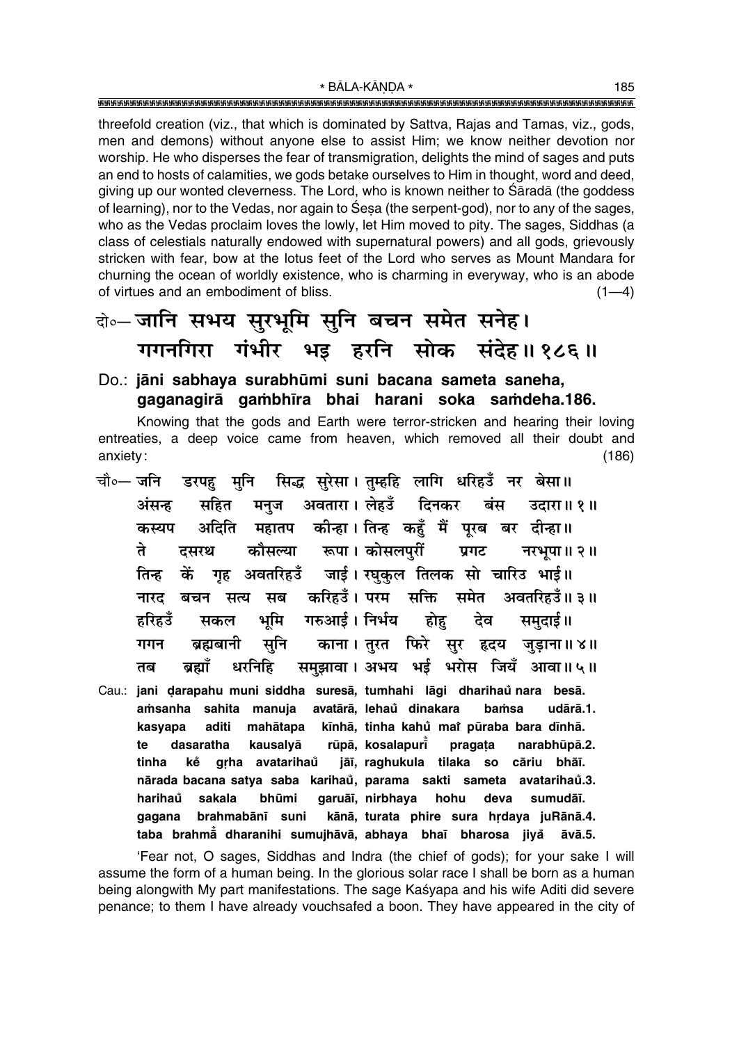threefold creation (viz., that which is dominated by Sattva, Rajas and Tamas, viz., gods, men and demons) without anyone else to assist Him; we know neither devotion nor worship. He who disperses the fear of transmigration, delights the mind of sages and puts an end to hosts of calamities, we gods betake ourselves to Him in thought, word and deed, giving up our wonted cleverness. The Lord, who is known neither to Sarada (the goddess of learning), nor to the Vedas, nor again to Sesa (the serpent-god), nor to any of the sages, who as the Vedas proclaim loves the lowly, let Him moved to pity. The sages, Siddhas (a class of celestials naturally endowed with supernatural powers) and all gods, grievously stricken with fear, bow at the lotus feet of the Lord who serves as Mount Mandara for churning the ocean of worldly existence, who is charming in everyway, who is an abode of virtues and an embodiment of bliss.  $(1-4)$ 

## के-जानि सभय सुरभूमि सुनि बचन समेत सनेह। गगनगिरा गंभीर भइ हरनि सोक संदेह॥१८६॥

#### Do.: jāni sabhaya surabhūmi suni bacana sameta saneha, gaganagirā gambhīra bhai harani soka samdeha.186.

Knowing that the gods and Earth were terror-stricken and hearing their loving entreaties, a deep voice came from heaven, which removed all their doubt and anxiety:  $(186)$ 

- चौ∘— जनि डरपह मनि सिद्ध सरेसा। तम्हहि लागि धरिहउँ नर बेसा॥ सहित मनुज अवतारा।लेहउँ दिनकर बंस उदारा॥१॥ अंसन्ह अदिति महातप कीन्हा। तिन्ह कहँ मैं परब बर दीन्हा॥ कस्यप कौसल्या रूपा।कोसलपरीं प्रगट नरभपा॥२॥ ते दसरथ गृह अवतरिहउँ जाई। रघुकुल तिलक सो चारिउ भाई॥ तिन्ह कें नारद बचन सत्य सब करिहउँ। परम सक्ति समेत अवतरिहउँ॥३॥ भूमि गरुआई। निर्भय हरिहउँ होह समुदाई ॥ सकल देव सनि काना। तुरत फिरे सुर हृदय जुड़ाना॥४॥ ब्रह्मबानी गगन धरनिहि समुझावा। अभय भई भरोस जियँ आवा॥५॥ ब्रह्माँ तब
- Cau.: jani darapahu muni siddha suresā, tumhahi lāgi dharihaŭ nara besā. amsanha sahita manuja avatārā, lehaŭ dinakara bamsa udārā.1. kīnhā, tinha kahů mař pūraba bara dīnhā. kasyapa aditi mahātapa dasaratha rūpā, kosalapuri te kausalyā pragata narabhūpā.2. grha avatarihau jāī, raghukula tilaka so cāriu bhāī. tinha kě nārada bacana satya saba karihaŭ, parama sakti sameta avatarihaŭ.3. qaruāī, nirbhaya harihaů sakala bhūmi hohu deva sumudāī. brahmabānī suni kānā, turata phire sura hrdava juRānā.4. qaqana taba brahma dharanihi sumujhāvā, abhaya bhaī bharosa jiya āvā.5.

'Fear not, O sages, Siddhas and Indra (the chief of gods); for your sake I will assume the form of a human being. In the glorious solar race I shall be born as a human being alongwith My part manifestations. The sage Kaśyapa and his wife Aditi did severe penance; to them I have already vouchsafed a boon. They have appeared in the city of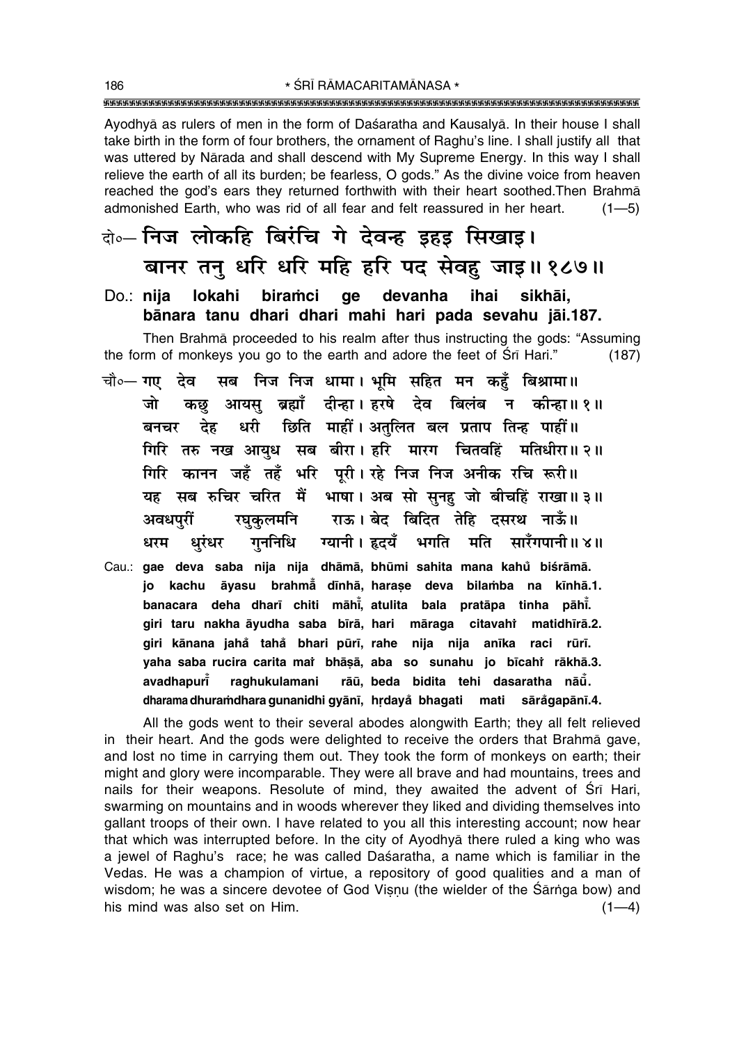\* ŚRĪ RĀMACARITAMĀNASA \* 

Ayodhyā as rulers of men in the form of Daśaratha and Kausalyā. In their house I shall take birth in the form of four brothers, the ornament of Raghu's line. I shall justify all that was uttered by Nārada and shall descend with My Supreme Energy. In this way I shall relieve the earth of all its burden; be fearless, O gods." As the divine voice from heaven reached the god's ears they returned forthwith with their heart soothed. Then Brahma admonished Earth, who was rid of all fear and felt reassured in her heart.  $(1 - 5)$ 

### बे- निज लोकहि बिरंचि गे देवन्ह इहड सिखाड़। बानर तनु धरि धरि महि हरि पद सेवहु जाइ॥१८७॥

#### Do.: nija lokahi biramci qe devanha ihai sikhāi, bānara tanu dhari dhari mahi hari pada sevahu jāi.187.

Then Brahma proceeded to his realm after thus instructing the gods: "Assuming the form of monkeys you go to the earth and adore the feet of Srī Hari."  $(187)$ 

- सब निज निज धामा। भूमि सहित मन कहुँ बिश्रामा॥ चौ∘— गए \_देव कछ आयस् ब्रह्माँ दीन्हा। हरषे देव बिलंब न कीन्हा॥१॥ जो धरी छिति माहीं। अतुलित बल प्रताप तिन्ह पाहीं॥ बनचर टेह गिरि तरु नख आयुध सब बीरा। हरि मारग चितवहिं मतिधीरा॥ २॥ गिरि कानन जहँ तहँ भरि पूरी। रहे निज निज अनीक रचि रूरी॥ यह सब रुचिर चरित मैं भाषा। अब सो सनह जो बीचहिं राखा॥३॥ रघुकुलमनि राऊ। बेद बिदित तेहि दसरथ नाऊँ॥ अवधपरीं गुननिधि ग्यानी । हृदयँ भगति मति सारँगपानी ॥ ४ ॥ धरंधर धरम
- Cau.: gae deva saba nija nija dhāmā, bhūmi sahita mana kahů biśrāmā. jo kachu āyasu brahmå dīnhā, harase deva bilamba na kīnhā.1. banacara deha dharī chiti māhi, atulita bala pratāpa tinha pāhi. giri taru nakha āyudha saba bīrā, hari māraga citavahi matidhīrā.2. giri kānana jahå tahå bhari pūrī, rahe nija nija anīka raci rūrī. yaha saba rucira carita mai bhāṣā, aba so sunahu jo bīcahi rākhā.3. raghukulamani rāū, beda bidita tehi dasaratha nāū. avadhapuri dharama dhuramdhara gunanidhi gyānī, hrdayå bhagati mati sārågapānī.4.

All the gods went to their several abodes alongwith Earth; they all felt relieved in their heart. And the gods were delighted to receive the orders that Brahma gave, and lost no time in carrying them out. They took the form of monkeys on earth; their might and glory were incomparable. They were all brave and had mountains, trees and nails for their weapons. Resolute of mind, they awaited the advent of Sri Hari, swarming on mountains and in woods wherever they liked and dividing themselves into gallant troops of their own. I have related to you all this interesting account; now hear that which was interrupted before. In the city of Ayodhya there ruled a king who was a jewel of Raghu's race; he was called Daśaratha, a name which is familiar in the Vedas. He was a champion of virtue, a repository of good qualities and a man of wisdom; he was a sincere devotee of God Visnu (the wielder of the Sarnga bow) and his mind was also set on Him.  $(1-4)$ 

186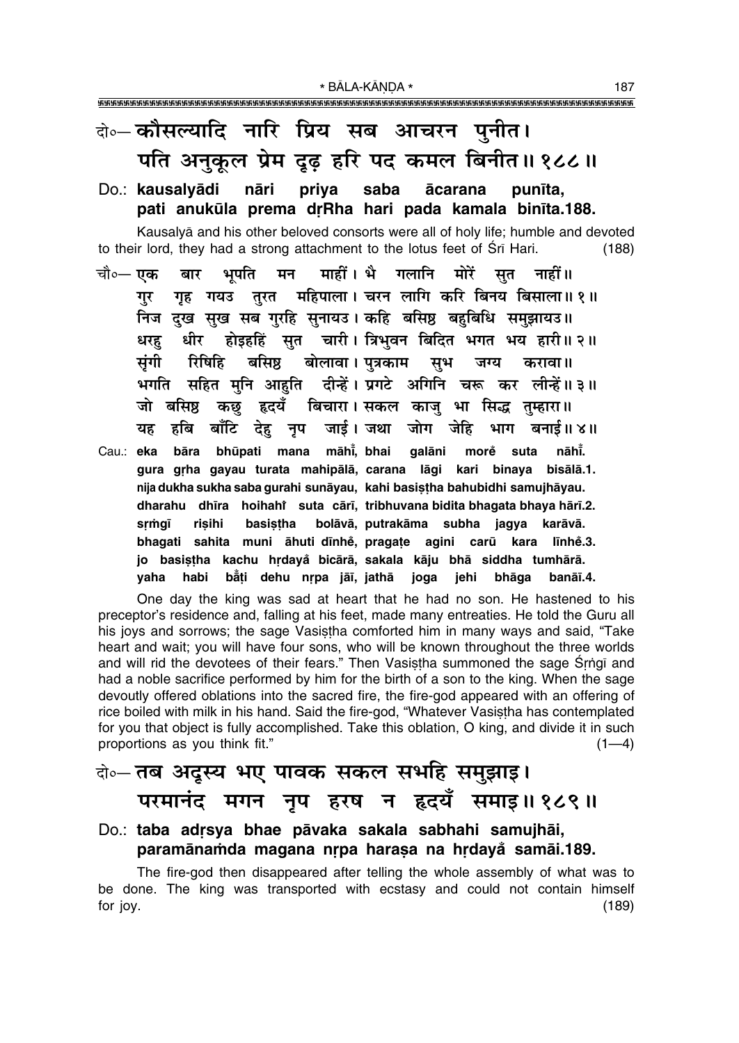\* BĀLA-KĀNDA \* 

### केन्चेसल्यादि नारि प्रिय सब आचरन पुनीत। पति अनुकूल प्रेम दुढ़ हरि पद कमल बिनीत॥ १८८॥

#### Do.: kausalvādi nāri priva saba **acarana** punīta. pati anukūla prema drRha hari pada kamala binīta.188.

Kausalyā and his other beloved consorts were all of holy life; humble and devoted to their lord, they had a strong attachment to the lotus feet of Srī Hari.  $(188)$ 

- माहीं। भै गलानि मोरें सत नाहीं॥ चौ०— एक बार भूपति मन गृह गयउ तुरत महिपाला। चरन लागि करि बिनय बिसाला॥१॥ गर निज दुख सुख सब गुरहि सुनायउ । कहि बसिष्ठ बहुबिधि समुझायउ ॥ धीर होइहहिं सत चारी। त्रिभवन बिदित भगत भय हारी॥ २॥ धरह बसिष्ठ बोलावा। पत्रकाम सभ संगी रिषिहि जग्य करावा॥ भगति सहित मुनि आहुति दीन्हें। प्रगटे अगिनि चरू कर लीन्हें॥३॥ जो बसिष्ठ कछ हृदयँ बिचारा।सकल काजु भा सिद्ध तुम्हारा॥ यह हबि बाँटि देह नप जाई । जथा जोग जेहि भाग बनाई॥४॥ bhūpati mana māhi̇̃.bhai galāni morě nāhi. Cau.: eka bāra suta gura grha gayau turata mahipālā, carana lāgi kari binaya bisālā.1. nija dukha sukha saba gurahi sunāyau, kahi basistha bahubidhi samujhāyau.
- dharahu dhīra hoihahi suta cārī, tribhuvana bidita bhagata bhaya hārī.2. bolāvā, putrakāma subha jagya karāvā. risihi basistha srmgī bhagati sahita muni āhuti-dīnhe, pragate agini carū kara līnhe.3. jo basistha kachu hrdayå bicārā, sakala kāju bhā siddha tumhārā. habi băți dehu nrpa jāī, jathā joga bhāqa vaha jehi banāī.4.

One day the king was sad at heart that he had no son. He hastened to his preceptor's residence and, falling at his feet, made many entreaties. He told the Guru all his joys and sorrows; the sage Vasistha comforted him in many ways and said, "Take heart and wait; you will have four sons, who will be known throughout the three worlds and will rid the devotees of their fears." Then Vasistha summoned the sage Srngi and had a noble sacrifice performed by him for the birth of a son to the king. When the sage devoutly offered oblations into the sacred fire, the fire-god appeared with an offering of rice boiled with milk in his hand. Said the fire-god, "Whatever Vasistha has contemplated for you that object is fully accomplished. Take this oblation, O king, and divide it in such proportions as you think fit."  $(1-4)$ 

# वे०-तब अदृस्य भए पावक सकल सभहि समझाइ। परमानंद मगन नृप हरष न हृदयँ समाइ॥१८९॥

### Do.: taba adrsya bhae pāvaka sakala sabhahi samujhāi, paramānamda magana nrpa harasa na hrdaya samāi.189.

The fire-god then disappeared after telling the whole assembly of what was to be done. The king was transported with ecstasy and could not contain himself for joy.  $(189)$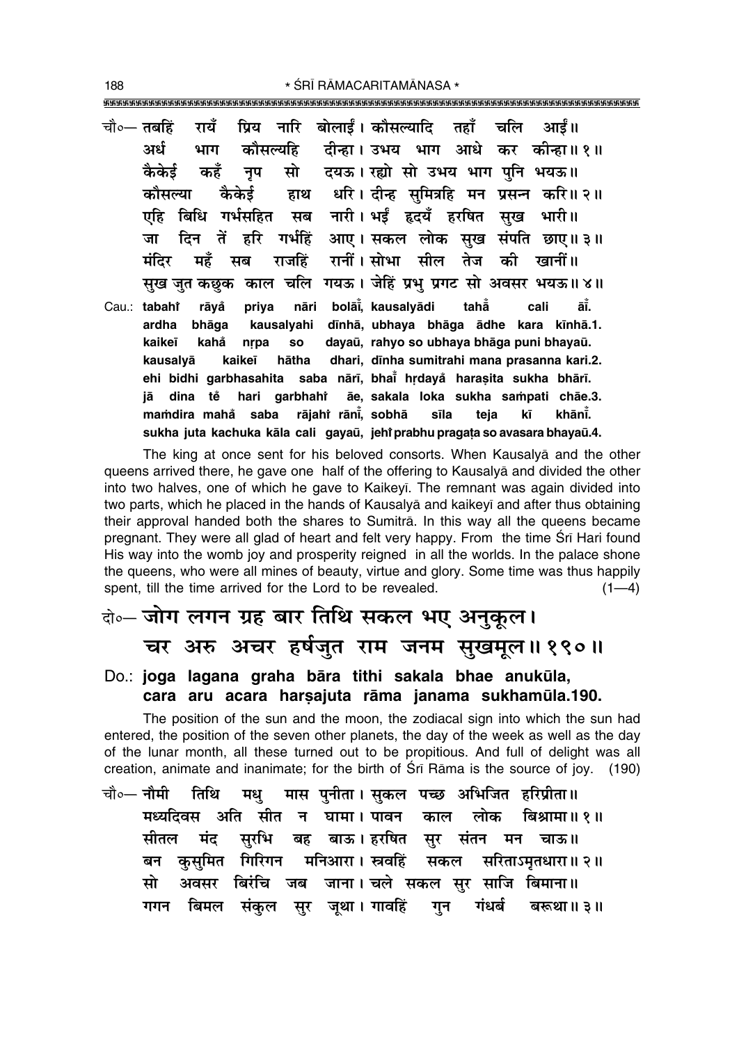चौ०— **तबहिं** गयँ प्रिय नारि बोलाईं। कौसल्यादि तहाँ चलि आर्ड ॥ कौसल्यहि अर्ध दीन्हा। उभय भाग आधे कर कीन्हा॥१॥ भाग कैकेर्ड दयऊ। रह्यो सो उभय भाग पनि भयऊ॥ कहँ नप मो धरि। दीन्ह समित्रहि मन प्रसन्न करि॥ २॥ कौसल्या कैकेर्ड हाथ सब नारी। भईं हृदयँ हरषित सख भारी॥ एहि बिधि गर्भसहित गर्भहिं आए। सकल लोक सुख संपति छाए॥३॥ तें जा टिन द्ररि रानीं। सोभा सील मंदिर महँ मब राजहिं तेज की खानीं ॥ सख जत कछक काल चलि गयऊ। जेहिं प्रभु प्रगट सो अवसर भयऊ॥४॥ bolāi, kausalyādi tahå āŤ. Cau.: tabahi rāyå priya nāri cali ardha bhāga kausalyahi dīnhā, ubhaya bhāga ādhe kara kīnhā.1. dayaū, rahyo so ubhaya bhāqa puni bhayaū. kaikeī kahå nrpa so dhari, dīnha sumitrahi mana prasanna kari.2. hātha kausalyā kaikeī saba nārī, bhai hrdayå harasita sukha bhārī. ehi bidhi qarbhasahita ãe, sakala loka sukha sampati chãe.3. dina tě hari qarbhahi iā rājahi rāni, sobhā mamdira mahå saba sīla kī khānī. teia sukha juta kachuka kāla cali gayaū, jehi prabhu pragata so avasara bhayaū.4.

The king at once sent for his beloved consorts. When Kausalya and the other queens arrived there, he gave one half of the offering to Kausalya and divided the other into two halves, one of which he gave to Kaikeyī. The remnant was again divided into two parts, which he placed in the hands of Kausalya and kaikeyi and after thus obtaining their approval handed both the shares to Sumitra. In this way all the queens became pregnant. They were all glad of heart and felt very happy. From the time Sri Hari found His way into the womb joy and prosperity reigned in all the worlds. In the palace shone the queens, who were all mines of beauty, virtue and glory. Some time was thus happily spent, till the time arrived for the Lord to be revealed.  $(1-4)$ 

### बेन्ट जोग लगन ग्रह बार तिथि सकल भए अनुकूल। चर अरु अचर हर्षजुत राम जनम सुखमूल॥१९०॥

#### Do.: joga lagana graha bāra tithi sakala bhae anukūla, cara aru acara harsajuta rāma janama sukhamūla.190.

The position of the sun and the moon, the zodiacal sign into which the sun had entered, the position of the seven other planets, the day of the week as well as the day of the lunar month, all these turned out to be propitious. And full of delight was all creation, animate and inanimate; for the birth of Sri Rama is the source of joy. (190)

चौ०— नौमी तिथि मध् मास पुनीता। सुकल पच्छ अभिजित हरिप्रीता॥ मध्यदिवस अति सीत न घामा। पावन लोक बिश्रामा॥ १॥ काल सीतल मंद सरभि बाऊ। हरषित सुर संतन मन चाऊ॥ बह मनिआरा । स्रवहिं बन कुसूमित गिरिगन सकल सरिताऽमृतधारा॥ २॥ मो अवसर बिरंचि जब जाना। चले सकल सुर साजि बिमाना॥ सुर जुथा। गावहिं गंधर्ब गगन बिमल संकुल गन बरूथा॥ ३॥

188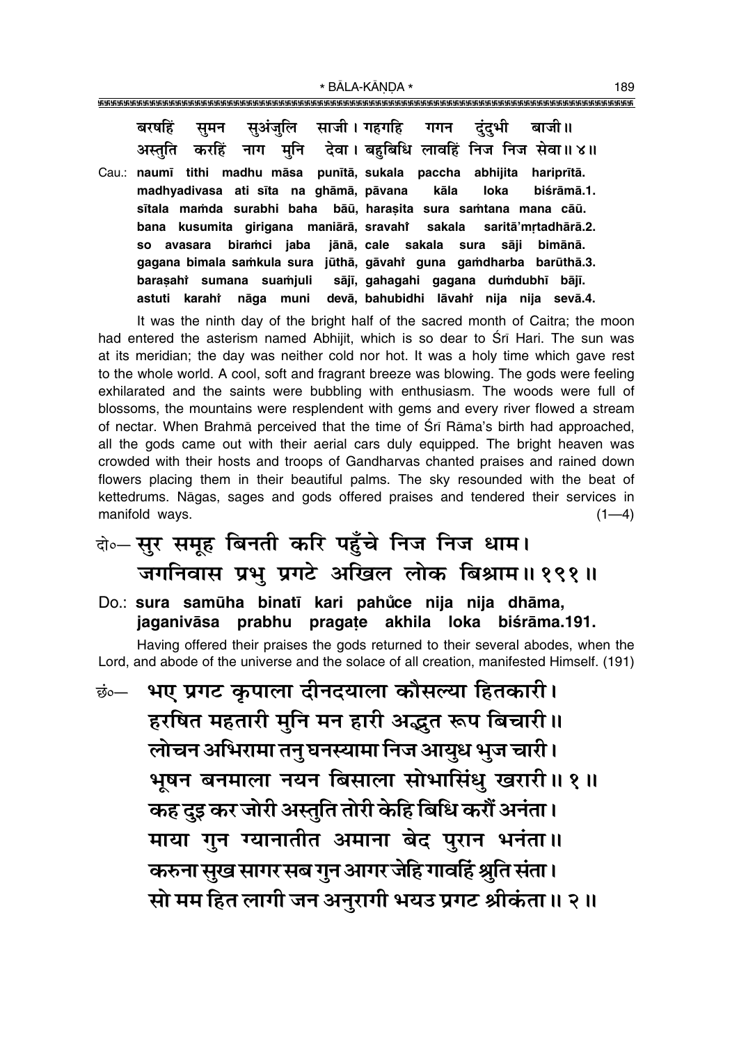साजी। गहगहि दुंदभी बरषहिं सअंजलि गगन बाजी॥ समन देवा। बहुबिधि लावहिं निज निज सेवा॥४॥ मूनि अस्तति करहिं नाग Cau.: naumī tithi madhu māsa punītā, sukala paccha abhijita hariprītā. madhyadivasa ati sīta na ghāmā, pāvana kāla loka biśrāmā.1. sītala mamda surabhi baha bāū, harasita sura samtana mana cāū. bana kusumita girigana maniārā, sravahî sakala saritā' mrtadhārā.2. so avasara biramci jaba jānā, cale sakala sura sāji bimānā. gagana bimala samkula sura jūthā, gāvahi guna gamdharba barūthā.3. barasahi sumana suamiuli sājī, gahagahi gagana dumdubhī bājī. astuti karahi nāga muni devā, bahubidhi lāvahi nija nija sevā.4.

It was the ninth day of the bright half of the sacred month of Caitra; the moon had entered the asterism named Abhijit, which is so dear to Srī Hari. The sun was at its meridian; the day was neither cold nor hot. It was a holy time which gave rest to the whole world. A cool, soft and fragrant breeze was blowing. The gods were feeling exhilarated and the saints were bubbling with enthusiasm. The woods were full of blossoms, the mountains were resplendent with gems and every river flowed a stream of nectar. When Brahma perceived that the time of Sri Rama's birth had approached. all the gods came out with their aerial cars duly equipped. The bright heaven was crowded with their hosts and troops of Gandharvas chanted praises and rained down flowers placing them in their beautiful palms. The sky resounded with the beat of kettedrums. Nāgas, sages and gods offered praises and tendered their services in manifold ways.  $(1-4)$ 

### वे० सुर समूह बिनती करि पहुँचे निज निज धाम। जगनिवास प्रभु प्रगटे अखिल लोक बिश्राम॥१९१॥

Do.: sura samūha binatī kari pahůce nija nija dhāma, prabhu pragate akhila loka biśrāma.191. jaganivāsa

Having offered their praises the gods returned to their several abodes, when the Lord, and abode of the universe and the solace of all creation, manifested Himself. (191)

<u>ं :- भए प्रगट कुपाला दीनदयाला कौसल्या हितकारी।</u> हरषित महतारी मुनि मन हारी अद्भुत रूप बिचारी ।। लोचन अभिरामा तनु घनस्यामा निज आयुध भुज चारी। भूषन बनमाला नयन बिसाला सोभासिंधु खरारी॥१॥ कह दुइ कर जोरी अस्तुति तोरी केहि बिधि करौं अनंता। माया गुन ग्यानातीत अमाना बेद पुरान भनंता॥ करुना सुख सागर सब गुन आगर जेहि गावहिं श्रुति संता। सो मम हित लागी जन अनुरागी भयउ प्रगट श्रीकंता॥ २॥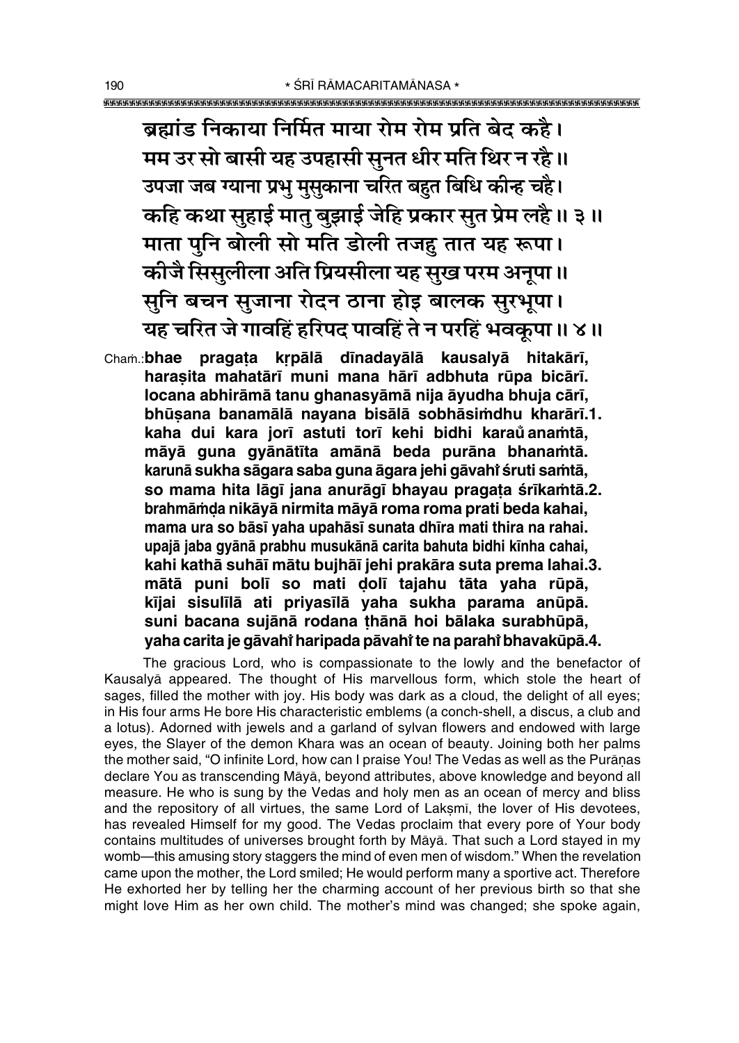ब्रह्मांड निकाया निर्मित माया रोम रोम प्रति बेद कहै। मम उर सो बासी यह उपहासी सुनत धीर मति थिर न रहै।। उपजा जब ग्याना प्रभु मुसुकाना चरित बहुत बिधि कीन्ह चहै। कहि कथा सुहाई मातु बुझाई जेहि प्रकार सुत प्रेम लहै ॥ ३ ॥ माता पुनि बोली सो मति डोली तजहु तात यह रूपा। कीजै सिसुलीला अति प्रियसीला यह सुख परम अनूपा ॥ सुनि बचन सुजाना रोदन ठाना होइ बालक सुरभूपा। यह चरित जे गावहिं हरिपद पावहिं ते न परहिं भवकूपा ॥ ४॥

Cham.:bhae pragata krpālā dīnadayālā kausalyā hitakārī, harasita mahatārī muni mana hārī adbhuta rūpa bicārī. locana abhirāmā tanu ghanasvāmā nija āvudha bhuja cārī, bhūsana banamālā nayana bisālā sobhāsimdhu kharārī.1. kaha dui kara jorī astuti torī kehi bidhi karaŭanamtā, māyā guna gyānātīta amānā beda purāna bhanamtā. karunā sukha sāgara saba guna āgara jehi gāvahi śruti samtā, so mama hita lāgī jana anurāgī bhayau pragata śrīkamtā.2. brahmāmda nikāyā nirmita māyā roma roma prati beda kahai, mama ura so bāsī yaha upahāsī sunata dhīra mati thira na rahai. upajā jaba gyānā prabhu musukānā carita bahuta bidhi kīnha cahai, kahi kathā suhāī mātu bujhāī jehi prakāra suta prema lahai.3. mātā puni bolī so mati dolī tajahu tāta yaha rūpā, kījai sisulīlā ati priyasīlā yaha sukha parama anūpā. suni bacana sujānā rodana thānā hoi bālaka surabhūpā, vaha carita je gāvahi haripada pāvahi te na parahi bhavakūpā.4.

The gracious Lord, who is compassionate to the lowly and the benefactor of Kausalyā appeared. The thought of His marvellous form, which stole the heart of sages, filled the mother with joy. His body was dark as a cloud, the delight of all eyes; in His four arms He bore His characteristic emblems (a conch-shell, a discus, a club and a lotus). Adorned with jewels and a garland of sylvan flowers and endowed with large eves, the Slayer of the demon Khara was an ocean of beauty. Joining both her palms the mother said, "O infinite Lord, how can I praise You! The Vedas as well as the Purānas declare You as transcending Māyā, beyond attributes, above knowledge and beyond all measure. He who is sung by the Vedas and holy men as an ocean of mercy and bliss and the repository of all virtues, the same Lord of Laksmi, the lover of His devotees, has revealed Himself for my good. The Vedas proclaim that every pore of Your body contains multitudes of universes brought forth by Maya. That such a Lord stayed in my womb—this amusing story staggers the mind of even men of wisdom." When the revelation came upon the mother, the Lord smiled; He would perform many a sportive act. Therefore He exhorted her by telling her the charming account of her previous birth so that she might love Him as her own child. The mother's mind was changed; she spoke again,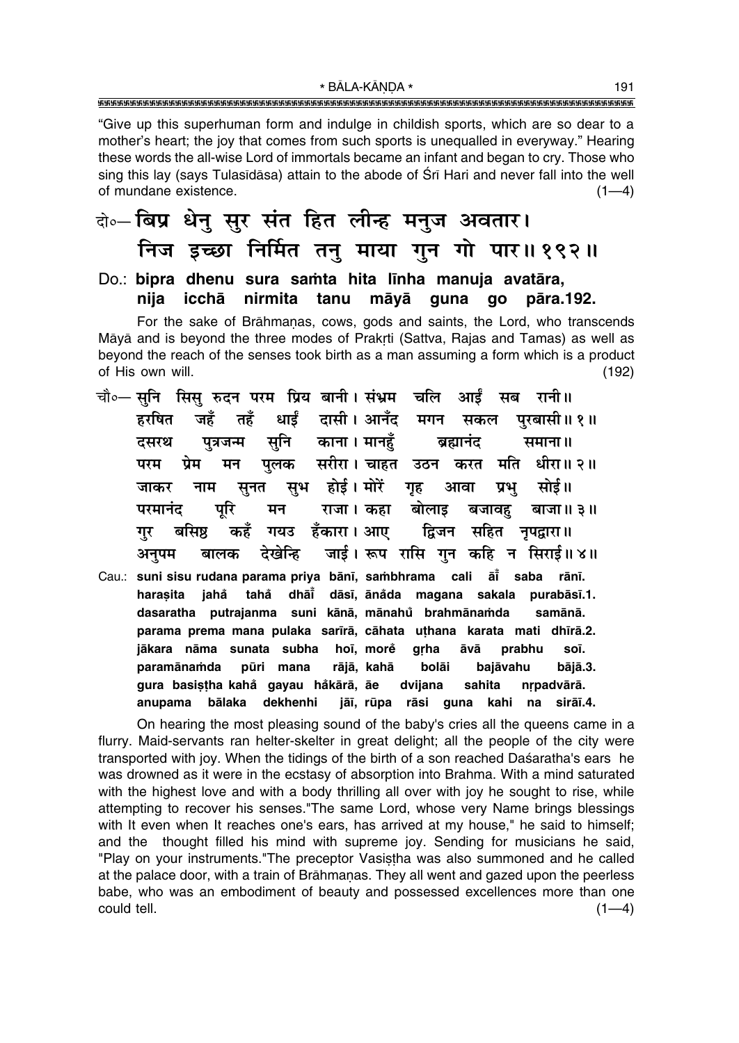\* BĀLA-KĀNDA \* 

"Give up this superhuman form and indulge in childish sports, which are so dear to a mother's heart; the joy that comes from such sports is unequalled in everyway." Hearing these words the all-wise Lord of immortals became an infant and began to cry. Those who sing this lay (says Tulasīdāsa) attain to the abode of Srī Hari and never fall into the well of mundane existence.  $(1-4)$ 

### केन्-बिप्र धेनु सुर संत हित लीन्ह मनुज अवतार। निज इच्छा निर्मित तनु माया गुन गो पार॥१९२॥ Do.: bipra dhenu sura samta hita līnha manuja avatāra,

nirmita tanu māyā

nija icchā

For the sake of Brāhmanas, cows, gods and saints, the Lord, who transcends Māyā and is beyond the three modes of Prakrti (Sattva, Rajas and Tamas) as well as beyond the reach of the senses took birth as a man assuming a form which is a product of His own will.  $(192)$ 

- चौ∘— सनि सिसु रुदन परम प्रिय बानी। संभ्रम चलि आईं सब रानी॥ धार्डं दासी। आनँद मगन हरषित जहँ तहँ सकल परबासी॥१॥ सूनि काना। मानहँ पुत्रजन्म ब्रह्मानंद समाना॥ दसरथ पुलक सरीरा। चाहत उठन करत मति धीरा॥२॥ प्रेम परम मन सुभ होई। मोरें गृह सूनत आवा प्रभु सोई॥ जाकर नाम राजा। कहा बोलाइ परमानंद परि मन बजावह बाजा॥ ३॥ कहँ गयउ हँकारा। आए द्विजन सहित नृपद्वारा॥ बसिष्ठ गर अनुपम बालक देखेन्हि जाई। रूप रासि गुन कहि न सिराई॥४॥
- Cau.: suni sisu rudana parama priya bānī, sambhrama cali ā saba rānī. harasita jahå tahå dhāi dāsī, ānåda magana sakala purabāsī.1. dasaratha putrajanma suni kānā, mānahů brahmānamda samānā. parama prema mana pulaka sarīrā, cāhata uthana karata mati dhīrā.2. hoī, more jākara nāma sunata subha grha āvā prabhu soī. paramānamda pūri mana rājā, kahā bajāvahu bolāi bājā.3. gura basistha kahå gayau håkārā, āe dvijana sahita nrpadvārā. anupama bālaka dekhenhi jāi, rūpa rāsi guna kahi na sirāi.4.

On hearing the most pleasing sound of the baby's cries all the queens came in a flurry. Maid-servants ran helter-skelter in great delight; all the people of the city were transported with joy. When the tidings of the birth of a son reached Dasaratha's ears he was drowned as it were in the ecstasy of absorption into Brahma. With a mind saturated with the highest love and with a body thrilling all over with joy he sought to rise, while attempting to recover his senses."The same Lord, whose very Name brings blessings with It even when It reaches one's ears, has arrived at my house," he said to himself; and the thought filled his mind with supreme joy. Sending for musicians he said, "Play on your instruments."The preceptor Vasistha was also summoned and he called at the palace door, with a train of Brāhmanas. They all went and gazed upon the peerless babe, who was an embodiment of beauty and possessed excellences more than one could tell.  $(1-4)$ 

go pāra.192.

guna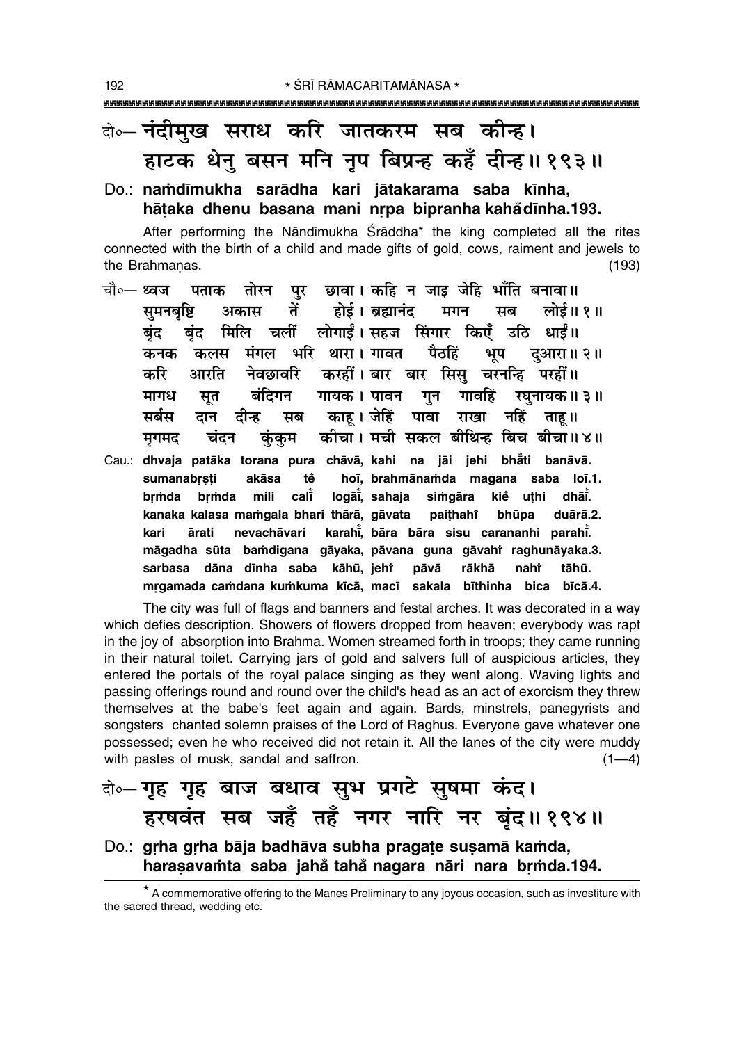### के-नंदीमुख सराध करि जातकरम सब कीन्ह। हाटक धेन् बसन मनि नूप बिप्रन्ह कहँ दीन्ह।। १९३॥

#### Do.: namdīmukha sarādha kari jātakarama saba kīnha, hātaka dhenu basana mani nrpa bipranha kahådīnha.193.

After performing the Nandimukha Śraddha\* the king completed all the rites connected with the birth of a child and made gifts of gold, cows, raiment and jewels to the Brāhmanas.  $(193)$ 

- पर छावा। कहि न जाइ जेहि भाँति बनावा॥ चौ०— ध्वज पताक तोरन तें होई। ब्रह्मानंद मगन अकास लोई॥ १॥ सुमनबृष्टि सब बृंद मिलि चलीं लोगाईं।सहज सिंगार किएँ उठि धाईं॥ बंद कनक कलस मंगल भरि थारा। गावत पैठहिं भूप दआरा॥ २॥ नेवछावरि करहीं। बार बार सिस् चरनन्हि परहीं॥ करि आरति गायक। पावन गुन गावहिं रघुनायक॥३॥ मागध सत बंदिगन सब काह।जेहिं पावा राखा नहिं ताह॥ सर्बस दीन्ह दान कीचा। मची सकल बीथिन्ह बिच बीचा॥४॥ मगमद चंदन कंकम Cau.: dhvaja patāka torana pura chāvā, kahi na jāi jehi bhāti banāvā.
- hoī, brahmānamda magana saba loī.1. sumanabrsti akāsa tě logāi, sahaja brmda brṁda mili calĭ simgāra kiể uthi dhāĭ. kanaka kalasa mamgala bhari thārā, gāvata paithahi bhūpa duārā.2. karahi, bāra bāra sisu carananhi parahi. kari ārati nevachāvari māgadha sūta bamdigana gāyaka, pāvana guna gāvahi raghunāyaka.3. sarbasa dāna dīnha saba kāhū, jehř pāvā rākhā nahi tāhū. mrgamada camdana kumkuma kīcā, macī sakala bīthinha bica bīcā.4.

The city was full of flags and banners and festal arches. It was decorated in a way which defies description. Showers of flowers dropped from heaven; everybody was rapt in the joy of absorption into Brahma. Women streamed forth in troops; they came running in their natural toilet. Carrying jars of gold and salvers full of auspicious articles, they entered the portals of the royal palace singing as they went along. Waving lights and passing offerings round and round over the child's head as an act of exorcism they threw themselves at the babe's feet again and again. Bards, minstrels, panegyrists and songsters chanted solemn praises of the Lord of Raghus. Everyone gave whatever one possessed; even he who received did not retain it. All the lanes of the city were muddy with pastes of musk, sandal and saffron.  $(1-4)$ 

# वे०-गृह गृह बाज बधाव सुभ प्रगटे सुषमा कंद। हरषवंत सब जहँ तहँ नगर नारि नर बंद॥१९४॥

### Do.: grha grha bāja badhāva subha pragate susamā kamda, harasavamta saba jahå tahå nagara nāri nara brmda.194.

<sup>\*</sup> A commemorative offering to the Manes Preliminary to any joyous occasion, such as investiture with the sacred thread, wedding etc.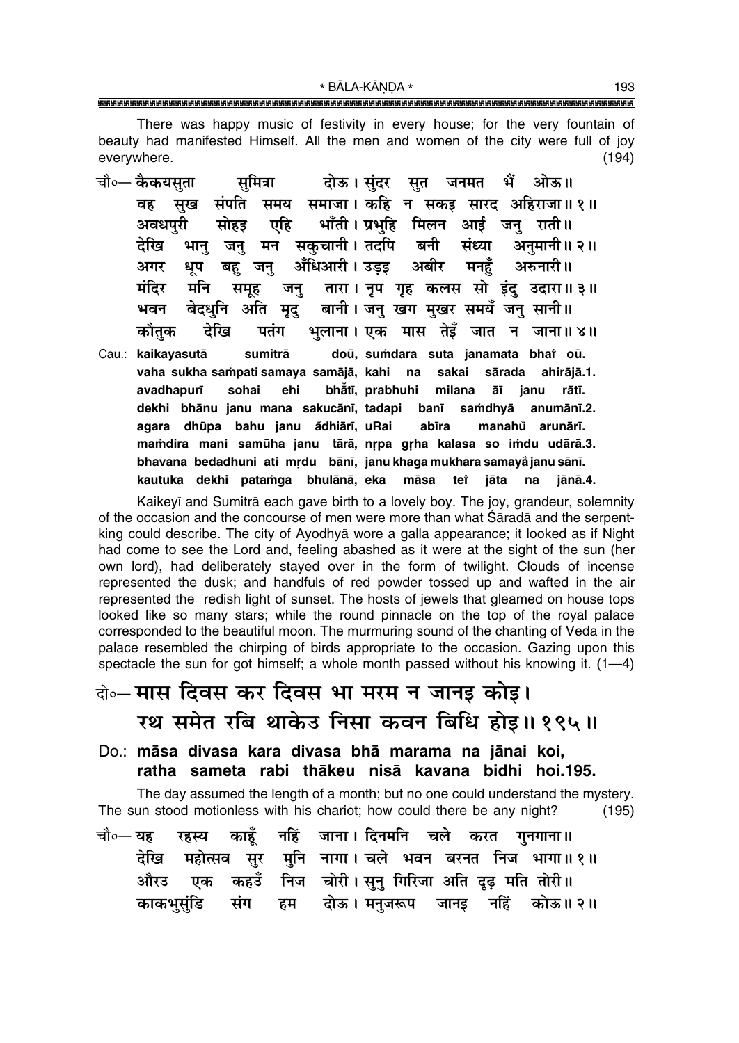\* BĀLA-KĀNDA \* 

There was happy music of festivity in every house; for the very fountain of beauty had manifested Himself. All the men and women of the city were full of joy everywhere.  $(194)$ 

- चौ०— कैकयसता दोऊ। संदर सत जनमत भैं ओऊ॥ समित्रा सख संपति समय समाजा।कहि न सकड सारद अहिराजा॥१॥ वह सोहड एहि भाँती। प्रभहि मिलन आई जन राती॥ अवधपरी मन सकचानी। तदपि देखि बनी संध्या अनमानी॥ २॥ भान जन अँधिआरी । उड़इ अबीर मनहँ अरुनारी॥ अगर धप बह जन मंदिर मनि तारा। नप गह कलस सो इंद उदारा॥३॥ समह जन बानी। जनु खग मुखर समयँ जनु सानी॥ बेदधुनि अति मृद् भवन भलाना। एक मास तेडँ जात न जाना॥४॥ कौतक देरिव पतंग
- doū, sumdara suta janamata bhař oū. Cau.: kaikayasutā sumitrā vaha sukha sampati samaya samājā, kahi sakai sārada ahirājā.1. na avadhapurī sohai ehi bhatī, prabhuhi milana āī janu rātī. dekhi bhānu janu mana sakucānī, tadapi banī samdhyā anumānī.2. agara dhūpa bahu janu ådhiārī, uRai abīra manahů arunārī. mamdira mani samūha janu tārā, nrpa grha kalasa so imdu udārā.3. bhavana bedadhuni ati mrdu bānī, janu khaga mukhara samaya janu sānī. kautuka dekhi patamga bhulānā, eka māsa ter iāta na iānā.4.

Kaikeyī and Sumitrā each gave birth to a lovely boy. The joy, grandeur, solemnity of the occasion and the concourse of men were more than what Sarada and the serpentking could describe. The city of Ayodhya wore a galla appearance; it looked as if Night had come to see the Lord and, feeling abashed as it were at the sight of the sun (her own lord), had deliberately stayed over in the form of twilight. Clouds of incense represented the dusk; and handfuls of red powder tossed up and wafted in the air represented the redish light of sunset. The hosts of jewels that gleamed on house tops looked like so many stars; while the round pinnacle on the top of the royal palace corresponded to the beautiful moon. The murmuring sound of the chanting of Veda in the palace resembled the chirping of birds appropriate to the occasion. Gazing upon this spectacle the sun for got himself; a whole month passed without his knowing it.  $(1-4)$ 

## वे॰- मास दिवस कर दिवस भा मरम न जानइ कोइ। रथ समेत रबि थाकेउ निसा कवन बिधि होइ॥१९५॥

Do.: māsa divasa kara divasa bhā marama na jānai koi, ratha sameta rabi thākeu nisā kavana bidhi hoi.195.

The day assumed the length of a month; but no one could understand the mystery. The sun stood motionless with his chariot; how could there be any night?  $(195)$ 

|  |  | चौ०— यह  रहस्य  काहूँ  नहिं  जाना । दिनमनि  चले  करत  गुनगाना॥ |
|--|--|----------------------------------------------------------------|
|  |  | देखि महोत्सव सुर मुनि नागा। चले भवन बरनत निज भागा॥१॥           |
|  |  | औरउ एक कहउँ निज चोरी।सुनु गिरिजा अति दृढ़ मति तोरी॥            |
|  |  | काकभुसंडि संग हम दोऊ।मनुजरूप जानइ नहिं कोऊ॥२॥                  |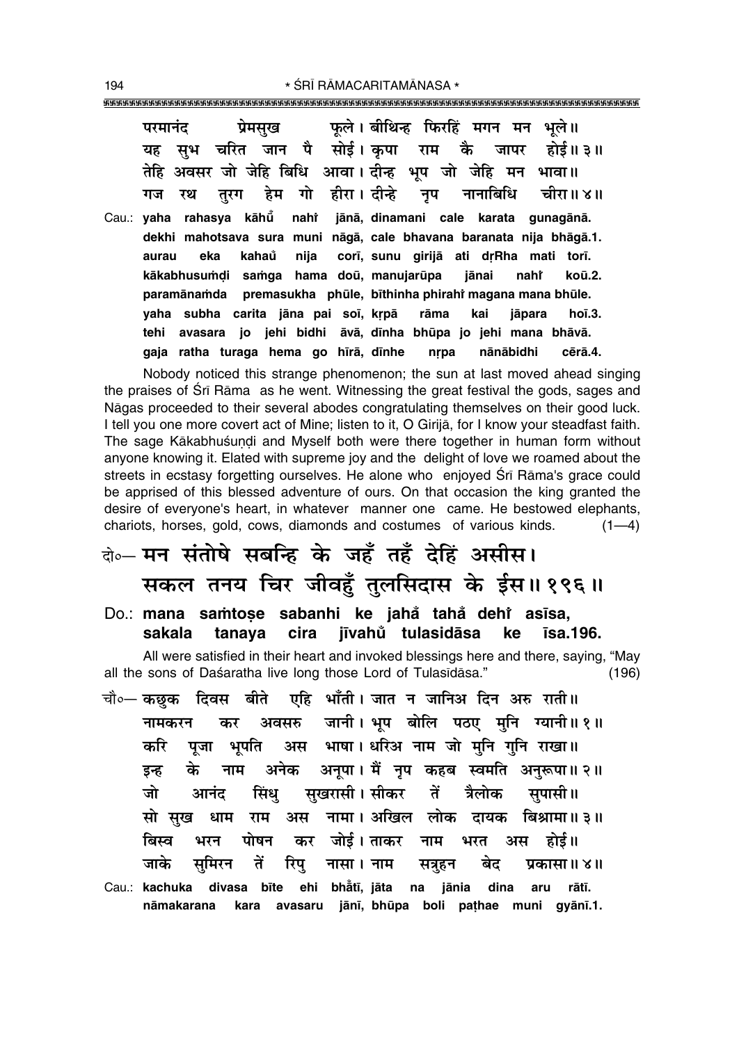| प्रेमसूख<br>परमानंद                                                 | फूले। बीथिन्ह फिरहिं मगन मन भूले॥                     |
|---------------------------------------------------------------------|-------------------------------------------------------|
| यह सुभ चरित जान पै सोई।कृपा राम कै जापर होई॥३॥                      |                                                       |
| तेहि अवसर जो जेहि बिधि आवा। दीन्ह भूप जो जेहि मन भावा॥              |                                                       |
| रथ तुरंग हेम गो हीरा।दीन्हे नृप नानाबिधि चीरा॥४॥<br>गज              |                                                       |
| Cau.: yaha rahasya kāhūઁ nahŕ jānā, dinamani cale karata gunagānā.  |                                                       |
| dekhi mahotsava sura muni nāgā, cale bhavana baranata nija bhāgā.1. |                                                       |
| aurau                                                               | eka kahaŭ nija corī, sunu girijā ati dṛRha mati torī. |
| kākabhusumdi samga hama doū, manujarūpa jānai                       | nahi koū.2.                                           |
| paramānamda premasukha phūle, bīthinha phirahi magana mana bhūle.   |                                                       |
| yaha subha carita jāna pai soī, kṛpā rāma                           | kai<br>ho <sub>i.3</sub><br>jāpara                    |
| avasara jo jehi bidhi āvā, dīnha bhūpa jo jehi mana bhāvā.<br>tehi  |                                                       |
| gaja ratha turaga hema go hīrā, dīnhe nrpa                          | nānābidhi<br>cērā.4.                                  |

Nobody noticed this strange phenomenon; the sun at last moved ahead singing the praises of Śrī Rāma as he went. Witnessing the great festival the gods, sages and Någas proceeded to their several abodes congratulating themselves on their good luck. I tell you one more covert act of Mine; listen to it, O Girijå, for I know your steadfast faith. The sage Kākabhusundi and Myself both were there together in human form without anyone knowing it. Elated with supreme joy and the delight of love we roamed about the streets in ecstasy forgetting ourselves. He alone who enjoyed Śrī Rāma's grace could be apprised of this blessed adventure of ours. On that occasion the king granted the desire of everyone's heart, in whatever manner one came. He bestowed elephants, chariots, horses, gold, cows, diamonds and costumes of various kinds.  $(1-4)$ 

## दो**0 मन संतोषे सबन्हि के जहँ तहँ देहिं असीस।** सकल तनय चिर जीवहुँ तुलसिदास के ईस॥१९६॥

#### Do.: **mana sa≈to¶e sabanhi ke jaha° taha° . dehiÚ as∂sa, sakala tanaya cira j∂vahu° tulasidåsa ke ∂sa.196.**

All were satisfied in their heart and invoked blessings here and there, saying, "May all the sons of Dasaratha live long those Lord of Tulasīdāsa." (196)

- चौ०— <mark>कछुक दिवस बीते एहि भाँती । जात न जानिअ दिन अरु राती ॥</mark> नामकरन कर अवसरु जानी। भूष बोलि पठए मुनि ग्यानी॥ १॥ **करि पूजा भूपति अस भाषा। धरिअ नाम जो मुनि गुनि राखा॥** इन्ह के नाम अनेक अनूपा।**मैं नृप कहब स्वमति अनुरूपा॥२॥** जो आनंद सिंधु सुखरासी।सीकर तें त्रैलोक सुपासी॥ र्**सो सुख धाम राम अस नामा। अखिल लोक दायक** बिश्रामा॥३॥ <u>बिस्व भरन पोषन कर जोई।ताकर नाम भरत अस होई।।</u> जाके समिरन तें रिपु नासा।**नाम सत्रुहन बेद प्रकासा॥४**॥
- Cau.: **kachuka divasa b∂te ehi bhå° t∂, jåta na jånia dina aru råt∂.** nāmakarana kara avasaru jānī, bhūpa boli paṭhae muni gyānī.1.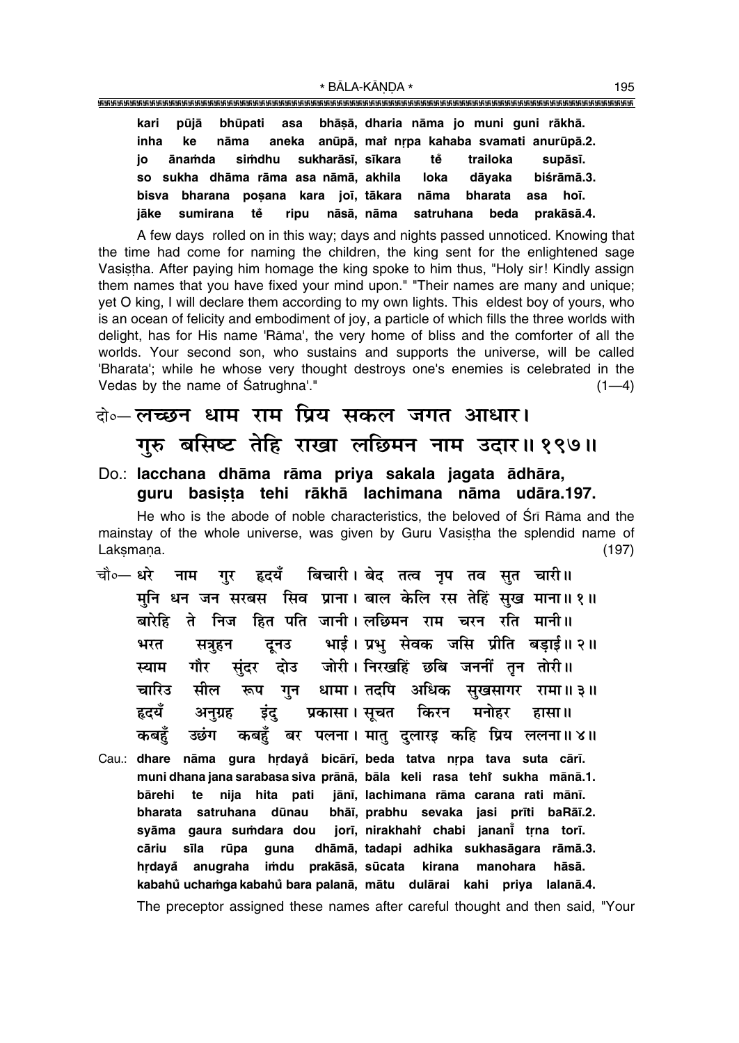kari pūjā bhūpati asa bhāṣā, dharia nāma jo muni guni rākhā. inha ke nāma aneka anūpā, mai nrpa kahaba svamati anurūpā.2. ānamda simdhu sukharāsī, sīkara tě trailoka supāsī. io so sukha dhāma rāma asa nāmā, akhila biśrāmā.3. loka dāyaka bisva bharana posana kara joi, tākara nāma bharata hoī. asa iāke sumirana tě ripu nāsā, nāma satruhana beda prakāsā.4.

A few days rolled on in this way; days and nights passed unnoticed. Knowing that the time had come for naming the children, the king sent for the enlightened sage Vasistha. After paying him homage the king spoke to him thus, "Holy sir! Kindly assign them names that you have fixed your mind upon." "Their names are many and unique; yet O king, I will declare them according to my own lights. This eldest boy of yours, who is an ocean of felicity and embodiment of joy, a particle of which fills the three worlds with delight, has for His name 'Rāma', the very home of bliss and the comforter of all the worlds. Your second son, who sustains and supports the universe, will be called 'Bharata'; while he whose very thought destroys one's enemies is celebrated in the Vedas by the name of Satrughna'."  $(1-4)$ 

### वे⊶लच्छन धाम राम प्रिय सकल जगत आधार। गुरु बसिष्ट तेहि राखा लछिमन नाम उदार॥१९७॥

#### Do.: lacchana dhāma rāma priya sakala jagata ādhāra, guru basista tehi rākhā lachimana nāma udāra.197.

He who is the abode of noble characteristics, the beloved of Srī Rāma and the mainstay of the whole universe, was given by Guru Vasistha the splendid name of Laksmana.  $(197)$ 

- हृदयँ बिचारी। बेद तत्व नृप तव सुत चारी॥ चौ०— धरे नाम गर मनि धन जन सरबस सिव प्राना। बाल केलि रस तेहिं सुख माना॥१॥ बारेहि ते निज हित पति जानी।लछिमन राम चरन रति मानी॥ दुनउ भाई। प्रभु सेवक जसि प्रीति बडाई॥२॥ भरत सत्रहन संदर दोउ जोरी। निरखहिं छबि जननीं तन तोरी॥ गौर स्याम गुन धामा। तदपि अधिक सुखसागर रामा॥३॥ चारिउ सील रूप प्रकासा। सूचत किरन हृदयँ मनोहर अनुग्रह इंद् हासा ॥ कबहँ उछंग कबहुँ बर पलना। मातु दुलारइ कहि प्रिय ललना॥४॥
- Cau.: dhare nāma gura hrdayă bicārī, beda tatva nrpa tava suta cārī. muni dhana jana sarabasa siva prānā, bāla keli rasa teht sukha mānā.1. bārehi te nija hita pati jānī, lachimana rāma carana rati mānī. bharata satruhana dūnau bhāi, prabhu sevaka jasi prīti baRāi.2. svāma gaura sumdara dou jorī, nirakhahi chabi jananī trna torī. dhāmā, tadapi adhika sukhasāgara rāmā.3. cāriu sīla rūpa guna anugraha imdu prakāsā, sūcata kirana manohara hāsā. hrdavå kabahů uchamga kabahů bara palanā, mātu dulārai kahi priya lalanā.4. The preceptor assigned these names after careful thought and then said, "Your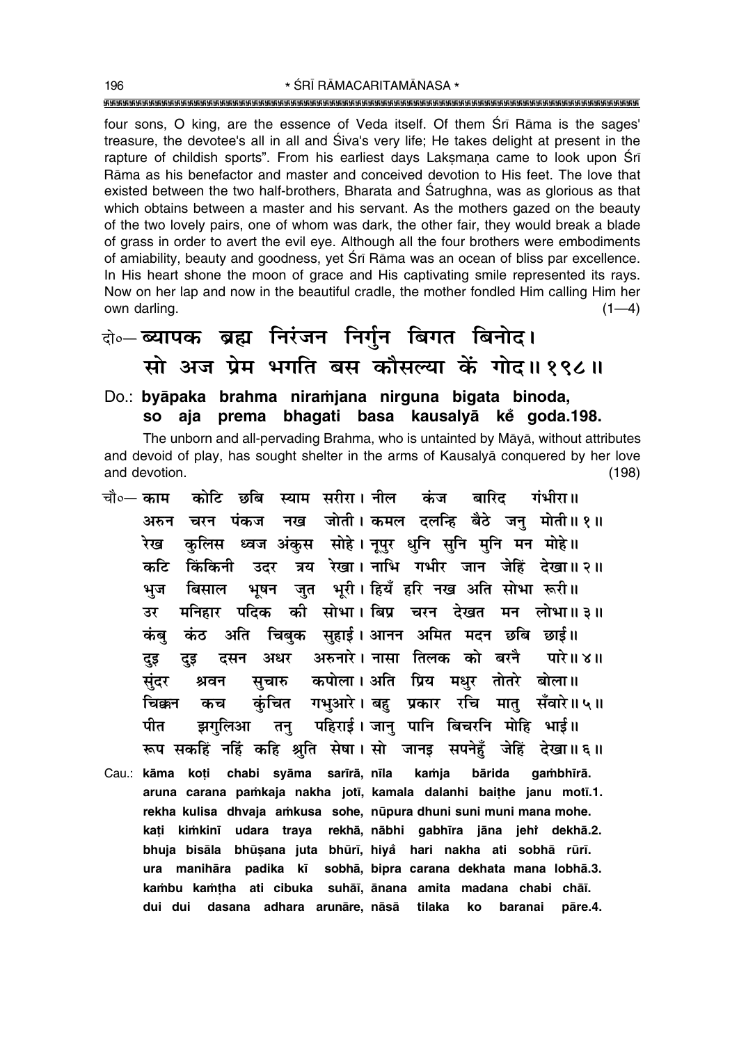four sons, O king, are the essence of Veda itself. Of them Śrī Rāma is the sages' treasure, the devotee's all in all and Siva's very life; He takes delight at present in the rapture of childish sports". From his earliest days Laksmana came to look upon Śrī Råma as his benefactor and master and conceived devotion to His feet. The love that existed between the two half-brothers, Bharata and Satrughna, was as glorious as that which obtains between a master and his servant. As the mothers gazed on the beauty of the two lovely pairs, one of whom was dark, the other fair, they would break a blade of grass in order to avert the evil eye. Although all the four brothers were embodiments of amiability, beauty and goodness, yet Śrī Rāma was an ocean of bliss par excellence. In His heart shone the moon of grace and His captivating smile represented its rays. Now on her lap and now in the beautiful cradle, the mother fondled Him calling Him her own darling. (1—4)

## दो**० व्यापक ब्रह्म निरंजन निर्गुन बिगत बिनोद।** सो अज प्रेम भगति बस कौसल्या कें गोद।। १९८ ।।

### Do.: **byāpaka brahma niramiana nirguna bigata binoda, so aja prema bhagati basa kausalyå ke goda.198. °**

The unborn and all-pervading Brahma, who is untainted by Måyå, without attributes and devoid of play, has sought shelter in the arms of Kausalyå conquered by her love and devotion. (198)

- चौ०— **काम कोटि छबि स्याम सरीरा। नील कंज बारि**ट गंभीरा॥ |<br>अरुन चरन पंकज नख जोती। कमल दलन्हि बैठे जन मोती॥१॥ **रेख** कलिस ध्वज अंकस सोहे।नपर धनि सनि मनि मन मोहे॥  $\overline{a}$ हिं किंकिनी उदर त्रय रेखा। नाभि गभीर जान जेहिं देखा॥ २॥ भुज बिसाल भूषन जुत भूरी।*'*हियँ हरि नख अति सोभा रूरी॥ उर मनिहार पदिक की सोभा।।बिप्र चरन देखत मन लोभा॥३॥ कंब कंठ अति चिबक सहाई।आनन अमित मदन छबि छाई॥ दुइ दुइ दसन अधर अरुनारे।**नासा तिलक को बरनै पारे॥४॥** संदर श्रवन सचारु कपोला।अति प्रिय मधर तोतरे बोला॥ चिक्कन कच कंचित गभुआरे।बह प्रकार रचि मात् सँवारे॥५॥ **पीत झगुलिआ तनु पहिराई। जानु पानि बिचरनि मोहि भाई।।** रूप सकहिं नहिं कहि श्रुति सेषा। सो जानइ सपनेहुँ जेहिं देखा॥६॥
- Cau.: **kåma ko¢i chabi syåma sar∂rå, n∂la ka≈ja bårida ga≈bh∂rå. aruna carana pa≈kaja nakha jot∂, kamala dalanhi bai¢he janu mot∂.1. rekha kulisa dhvaja a≈kusa sohe, nµupura dhuni suni muni mana mohe.** kaṭi kiṁkinī udara traya rekhā, nābhi gabhīra jāna jehř dekhā.2. bhuja bisāla bhūsana juta bhūrī, hiyå hari nakha ati sobhā rūrī. **ura manihåra padika k∂ sobhå, bipra carana dekhata mana lobhå.3. ka≈bu ka≈¢ha ati cibuka suhå∂, ånana amita madana chabi chå∂. dui dui dasana adhara arunåre, nåså tilaka ko baranai påre.4.**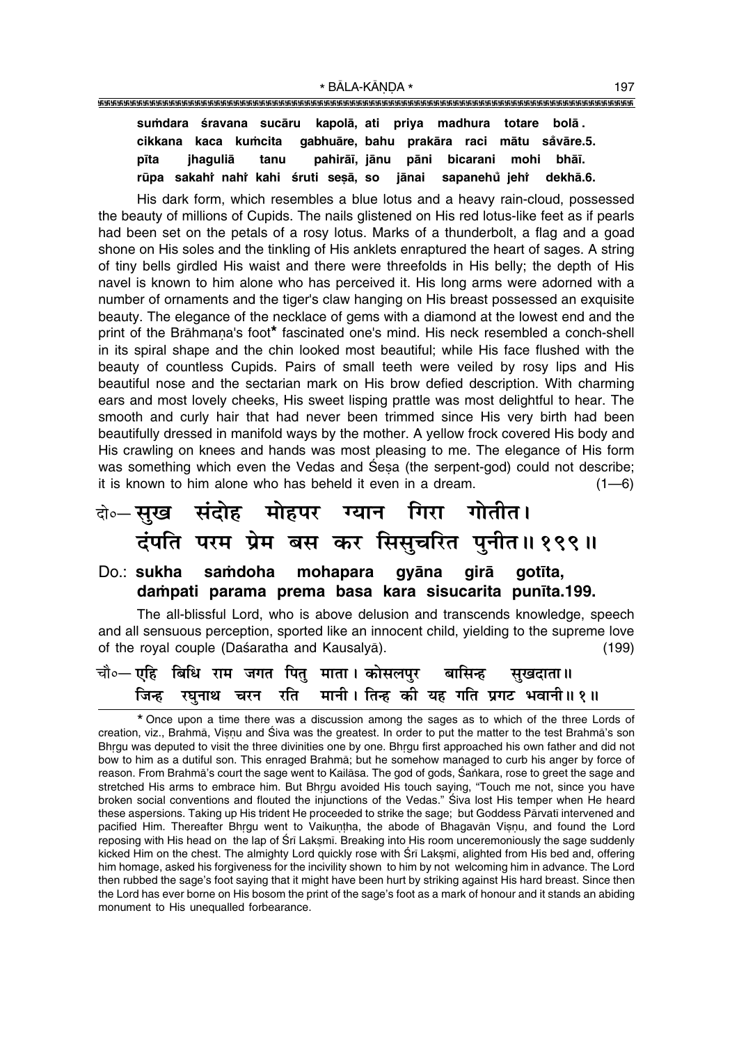**su≈dara ‹ravana sucåru kapolå, ati priya madhura totare bolå . cikkana kaca ku≈cita gabhuåre, bahu prakåra raci måtu sa°våre.5. p∂ta jhaguliå tanu pahirå∂, jånu påni bicarani mohi bhå∂.** rūpa sakahi̇́ nahi̇̀ kahi śruti seṣā, so jānai sapanehů jehi̇̀ sapanehů jehř dekhā.6.

His dark form, which resembles a blue lotus and a heavy rain-cloud, possessed the beauty of millions of Cupids. The nails glistened on His red lotus-like feet as if pearls had been set on the petals of a rosy lotus. Marks of a thunderbolt, a flag and a goad shone on His soles and the tinkling of His anklets enraptured the heart of sages. A string of tiny bells girdled His waist and there were threefolds in His belly; the depth of His navel is known to him alone who has perceived it. His long arms were adorned with a number of ornaments and the tiger's claw hanging on His breast possessed an exquisite beauty. The elegance of the necklace of gems with a diamond at the lowest end and the print of the Brāhmana's foot<sup>\*</sup> fascinated one's mind. His neck resembled a conch-shell in its spiral shape and the chin looked most beautiful; while His face flushed with the beauty of countless Cupids. Pairs of small teeth were veiled by rosy lips and His beautiful nose and the sectarian mark on His brow defied description. With charming ears and most lovely cheeks, His sweet lisping prattle was most delightful to hear. The smooth and curly hair that had never been trimmed since His very birth had been beautifully dressed in manifold ways by the mother. A yellow frock covered His body and His crawling on knees and hands was most pleasing to me. The elegance of His form was something which even the Vedas and Sesa (the serpent-god) could not describe; it is known to him alone who has beheld it even in a dream.  $(1-6)$ 

### दो**०–स्ख संदोह मोहपर ग्यान गिरा गोतीत।** दंपति परम प्रेम बस कर सिसुचरित पुनीत॥१९९॥

#### Do.: **sukha sa≈doha mohapara gyåna girå got∂ta, da≈pati parama prema basa kara sisucarita pun∂ta.199.**

The all-blissful Lord, who is above delusion and transcends knowledge, speech and all sensuous perception, sported like an innocent child, yielding to the supreme love of the royal couple (Dasaratha and Kausalya). (199)

|  |  |  | चौ०— एहि  बिधि  राम  जगत  पितृ  माता । कोसलपुर    बासिन्ह     सुखदाता॥ |
|--|--|--|------------------------------------------------------------------------|
|  |  |  | जिन्ह रघुनाथ चरन रति मानी।।तिन्ह की यह गति प्रगट भवानी॥१॥              |

\* Once upon a time there was a discussion among the sages as to which of the three Lords of creation, viz., Brahmā, Visnu and Śiva was the greatest. In order to put the matter to the test Brahmā's son Bhrgu was deputed to visit the three divinities one by one. Bhrgu first approached his own father and did not bow to him as a dutiful son. This enraged Brahmå; but he somehow managed to curb his anger by force of reason. From Brahmā's court the sage went to Kailāsa. The god of gods, Śankara, rose to greet the sage and stretched His arms to embrace him. But Bhrgu avoided His touch saying, "Touch me not, since you have broken social conventions and flouted the injunctions of the Vedas." Siva lost His temper when He heard these aspersions. Taking up His trident He proceeded to strike the sage; but Goddess Pārvatī intervened and pacified Him. Thereafter Bhrgu went to Vaikuntha, the abode of Bhagavān Visnu, and found the Lord reposing with His head on the lap of Śrī Lakṣmī. Breaking into His room unceremoniously the sage suddenly kicked Him on the chest. The almighty Lord quickly rose with Śrī Lakṣmī, alighted from His bed and, offering him homage, asked his forgiveness for the incivility shown to him by not welcoming him in advance. The Lord then rubbed the sage's foot saying that it might have been hurt by striking against His hard breast. Since then the Lord has ever borne on His bosom the print of the sage's foot as a mark of honour and it stands an abiding monument to His unequalled forbearance.